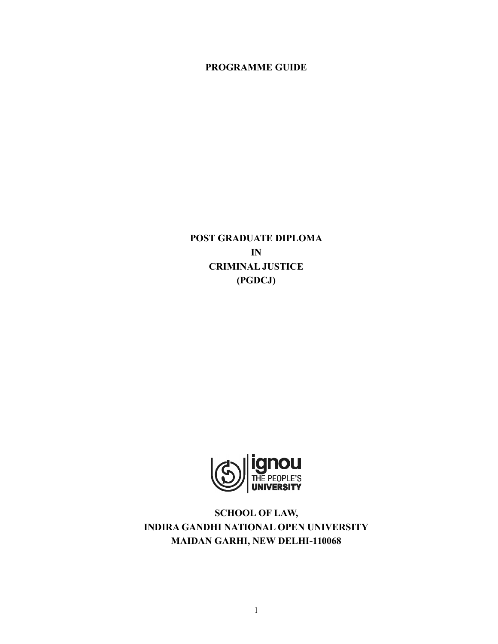**PROGRAMME GUIDE**

**POST GRADUATE DIPLOMA IN CRIMINAL JUSTICE (PGDCJ)**



**SCHOOL OF LAW, INDIRA GANDHI NATIONAL OPEN UNIVERSITY MAIDAN GARHI, NEW DELHI-110068**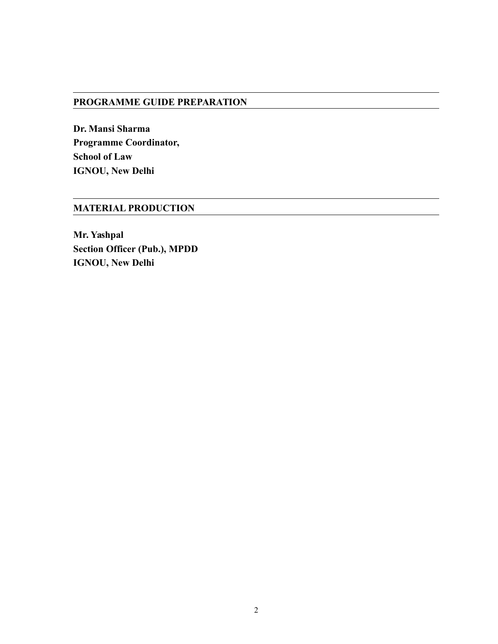#### **PROGRAMME GUIDE PREPARATION**

**Dr. Mansi Sharma Programme Coordinator, School of Law IGNOU, New Delhi**

# **MATERIAL PRODUCTION**

**Mr. Yashpal Section Officer (Pub.), MPDD IGNOU, New Delhi**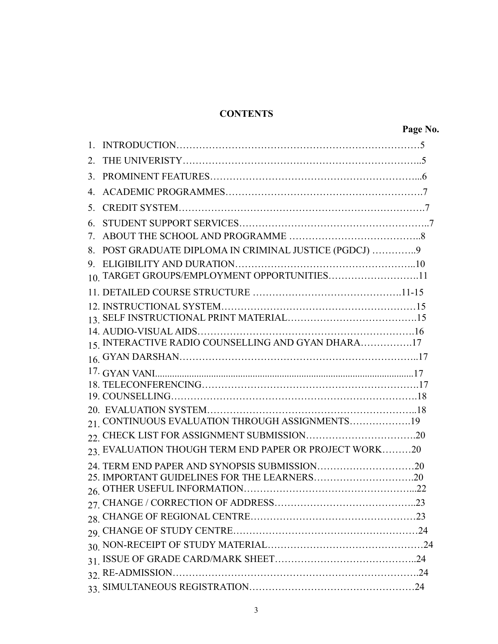# **CONTENTS**

| 2              |                                                        |  |
|----------------|--------------------------------------------------------|--|
| 3 <sub>1</sub> |                                                        |  |
| $\overline{4}$ |                                                        |  |
| 5              |                                                        |  |
| 6              |                                                        |  |
| 7              |                                                        |  |
| 8.             | POST GRADUATE DIPLOMA IN CRIMINAL JUSTICE (PGDCJ) 9    |  |
|                |                                                        |  |
|                | 10. TARGET GROUPS/EMPLOYMENT OPPORTUNITIES11           |  |
|                |                                                        |  |
|                |                                                        |  |
|                |                                                        |  |
|                | 15. INTERACTIVE RADIO COUNSELLING AND GYAN DHARA17     |  |
|                |                                                        |  |
|                |                                                        |  |
|                |                                                        |  |
|                |                                                        |  |
|                |                                                        |  |
|                | 21. CONTINUOUS EVALUATION THROUGH ASSIGNMENTS19        |  |
|                |                                                        |  |
|                | 23. EVALUATION THOUGH TERM END PAPER OR PROJECT WORK20 |  |
|                |                                                        |  |
|                |                                                        |  |
|                |                                                        |  |
|                |                                                        |  |
|                |                                                        |  |
|                |                                                        |  |
|                |                                                        |  |
|                |                                                        |  |
|                |                                                        |  |
|                |                                                        |  |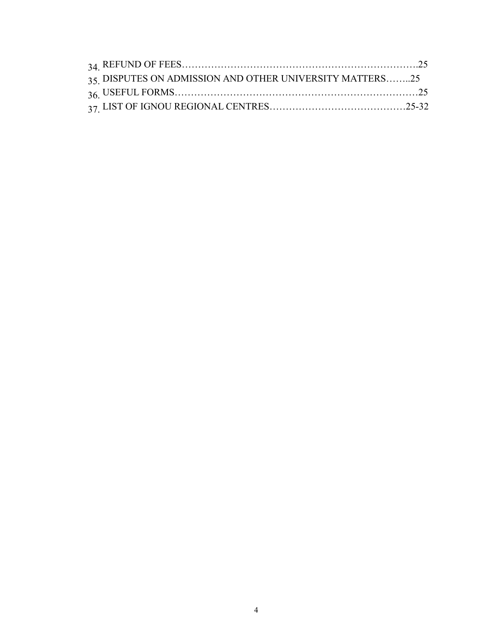| 35 DISPUTES ON ADMISSION AND OTHER UNIVERSITY MATTERS25 |  |
|---------------------------------------------------------|--|
|                                                         |  |
|                                                         |  |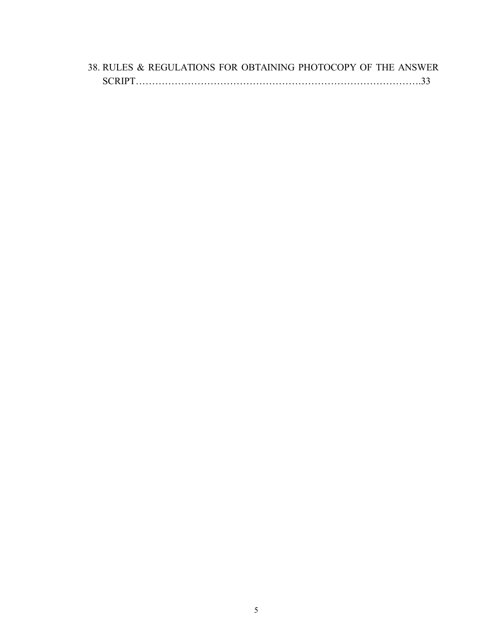|        | 38. RULES & REGULATIONS FOR OBTAINING PHOTOCOPY OF THE ANSWER |  |  |  |
|--------|---------------------------------------------------------------|--|--|--|
| SCRIPT |                                                               |  |  |  |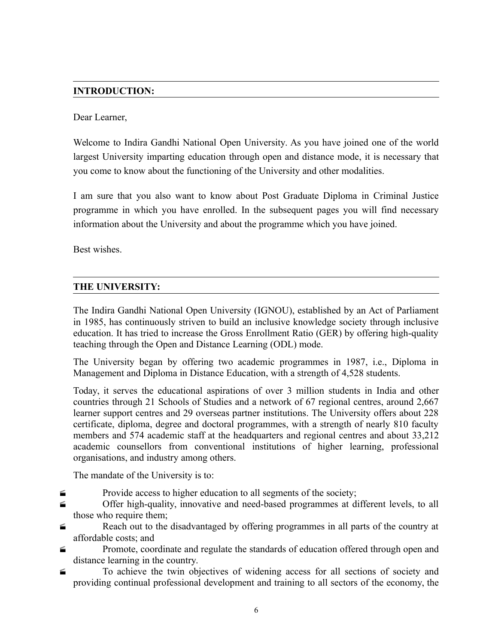# **INTRODUCTION:**

#### Dear Learner,

Welcome to Indira Gandhi National Open University. As you have joined one of the world largest University imparting education through open and distance mode, it is necessary that you come to know about the functioning of the University and other modalities.

I am sure that you also want to know about Post Graduate Diploma in Criminal Justice programme in which you have enrolled. In the subsequent pages you will find necessary information about the University and about the programme which you have joined.

Best wishes.

## **THE UNIVERSITY:**

The Indira Gandhi National Open University (IGNOU), established by an Act of Parliament in 1985, has continuously striven to build an inclusive knowledge society through inclusive education. It has tried to increase the Gross Enrollment Ratio (GER) by offering high-quality teaching through the Open and Distance Learning (ODL) mode.

The University began by offering two academic programmes in 1987, i.e., Diploma in Management and Diploma in Distance Education, with a strength of 4,528 students.

Today, it serves the educational aspirations of over 3 million students in India and other countries through 21 Schools of Studies and a network of 67 regional centres, around 2,667 learner support centres and 29 overseas partner institutions. The University offers about 228 certificate, diploma, degree and doctoral programmes, with a strength of nearly 810 faculty members and 574 academic staff at the headquarters and regional centres and about 33,212 academic counsellors from conventional institutions of higher learning, professional organisations, and industry among others.

The mandate of the University is to:

- $\blacktriangle$  Provide access to higher education to all segments of the society;
- Offer high-quality, innovative and need-based programmes at different levels, to all those who require them;
- **Exercise 2.1** Reach out to the disadvantaged by offering programmes in all parts of the country at affordable costs; and
- **Example 1** Promote, coordinate and regulate the standards of education offered through open and distance learning in the country.
- To achieve the twin objectives of widening access for all sections of society and providing continual professional development and training to all sectors of the economy, the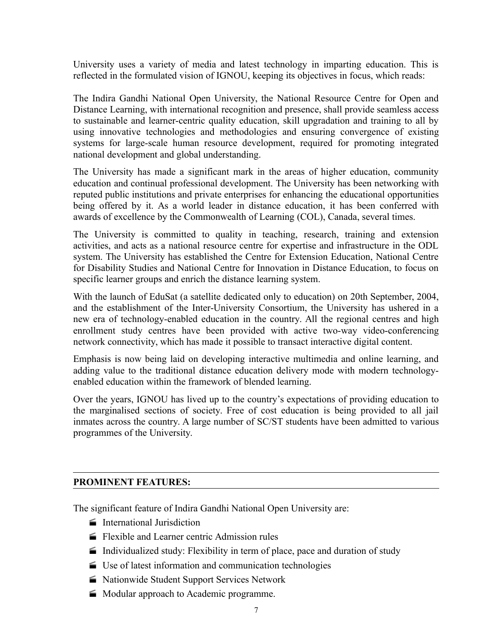University uses a variety of media and latest technology in imparting education. This is reflected in the formulated vision of IGNOU, keeping its objectives in focus, which reads:

The Indira Gandhi National Open University, the National Resource Centre for Open and Distance Learning, with international recognition and presence, shall provide seamless access to sustainable and learner-centric quality education, skill upgradation and training to all by using innovative technologies and methodologies and ensuring convergence of existing systems for large-scale human resource development, required for promoting integrated national development and global understanding.

The University has made a significant mark in the areas of higher education, community education and continual professional development. The University has been networking with reputed public institutions and private enterprises for enhancing the educational opportunities being offered by it. As a world leader in distance education, it has been conferred with awards of excellence by the Commonwealth of Learning (COL), Canada, several times.

The University is committed to quality in teaching, research, training and extension activities, and acts as a national resource centre for expertise and infrastructure in the ODL system. The University has established the Centre for Extension Education, National Centre for Disability Studies and National Centre for Innovation in Distance Education, to focus on specific learner groups and enrich the distance learning system.

With the launch of EduSat (a satellite dedicated only to education) on 20th September, 2004, and the establishment of the Inter-University Consortium, the University has ushered in a new era of technology-enabled education in the country. All the regional centres and high enrollment study centres have been provided with active two-way video-conferencing network connectivity, which has made it possible to transact interactive digital content.

Emphasis is now being laid on developing interactive multimedia and online learning, and adding value to the traditional distance education delivery mode with modern technologyenabled education within the framework of blended learning.

Over the years, IGNOU has lived up to the country's expectations of providing education to the marginalised sections of society. Free of cost education is being provided to all jail inmates across the country. A large number of SC/ST students have been admitted to various programmes of the University.

## **PROMINENT FEATURES:**

The significant feature of Indira Gandhi National Open University are:

- **International Jurisdiction**
- Flexible and Learner centric Admission rules
- Individualized study: Flexibility in term of place, pace and duration of study
- Use of latest information and communication technologies
- Nationwide Student Support Services Network
- **Modular approach to Academic programme.**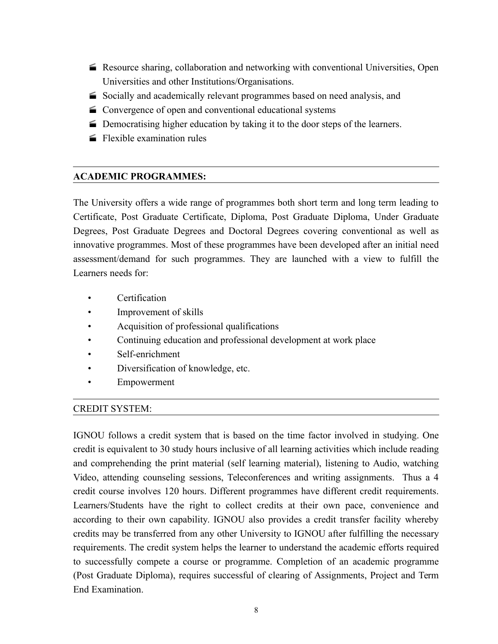- Resource sharing, collaboration and networking with conventional Universities, Open Universities and other Institutions/Organisations.
- Socially and academically relevant programmes based on need analysis, and
- Convergence of open and conventional educational systems
- Democratising higher education by taking it to the door steps of the learners.
- $\blacktriangleright$  Flexible examination rules

## **ACADEMIC PROGRAMMES:**

The University offers a wide range of programmes both short term and long term leading to Certificate, Post Graduate Certificate, Diploma, Post Graduate Diploma, Under Graduate Degrees, Post Graduate Degrees and Doctoral Degrees covering conventional as well as innovative programmes. Most of these programmes have been developed after an initial need assessment/demand for such programmes. They are launched with a view to fulfill the Learners needs for:

- Certification
- Improvement of skills
- Acquisition of professional qualifications
- Continuing education and professional development at work place
- Self-enrichment
- Diversification of knowledge, etc.
- Empowerment

## CREDIT SYSTEM:

IGNOU follows a credit system that is based on the time factor involved in studying. One credit is equivalent to 30 study hours inclusive of all learning activities which include reading and comprehending the print material (self learning material), listening to Audio, watching Video, attending counseling sessions, Teleconferences and writing assignments. Thus a 4 credit course involves 120 hours. Different programmes have different credit requirements. Learners/Students have the right to collect credits at their own pace, convenience and according to their own capability. IGNOU also provides a credit transfer facility whereby credits may be transferred from any other University to IGNOU after fulfilling the necessary requirements. The credit system helps the learner to understand the academic efforts required to successfully compete a course or programme. Completion of an academic programme (Post Graduate Diploma), requires successful of clearing of Assignments, Project and Term End Examination.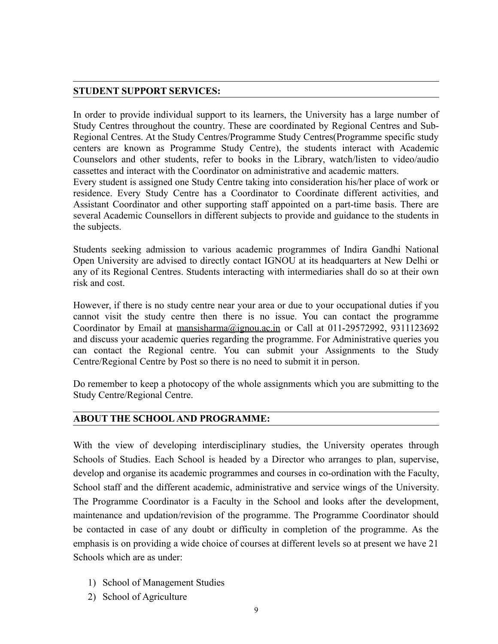#### **STUDENT SUPPORT SERVICES:**

In order to provide individual support to its learners, the University has a large number of Study Centres throughout the country. These are coordinated by Regional Centres and Sub-Regional Centres. At the Study Centres/Programme Study Centres(Programme specific study centers are known as Programme Study Centre), the students interact with Academic Counselors and other students, refer to books in the Library, watch/listen to video/audio cassettes and interact with the Coordinator on administrative and academic matters.

Every student is assigned one Study Centre taking into consideration his/her place of work or residence. Every Study Centre has a Coordinator to Coordinate different activities, and Assistant Coordinator and other supporting staff appointed on a part-time basis. There are several Academic Counsellors in different subjects to provide and guidance to the students in the subjects.

Students seeking admission to various academic programmes of Indira Gandhi National Open University are advised to directly contact IGNOU at its headquarters at New Delhi or any of its Regional Centres. Students interacting with intermediaries shall do so at their own risk and cost.

However, if there is no study centre near your area or due to your occupational duties if you cannot visit the study centre then there is no issue. You can contact the programme Coordinator by Email at [mansisharma@ignou.ac.in](mailto:mansisharma@ignou.ac.in) or Call at 011-29572992, 9311123692 and discuss your academic queries regarding the programme. For Administrative queries you can contact the Regional centre. You can submit your Assignments to the Study Centre/Regional Centre by Post so there is no need to submit it in person.

Do remember to keep a photocopy of the whole assignments which you are submitting to the Study Centre/Regional Centre.

## **ABOUT THE SCHOOL AND PROGRAMME:**

With the view of developing interdisciplinary studies, the University operates through Schools of Studies. Each School is headed by a Director who arranges to plan, supervise, develop and organise its academic programmes and courses in co-ordination with the Faculty, School staff and the different academic, administrative and service wings of the University. The Programme Coordinator is a Faculty in the School and looks after the development, maintenance and updation/revision of the programme. The Programme Coordinator should be contacted in case of any doubt or difficulty in completion of the programme. As the emphasis is on providing a wide choice of courses at different levels so at present we have 21 Schools which are as under:

- 1) School of Management Studies
- 2) School of Agriculture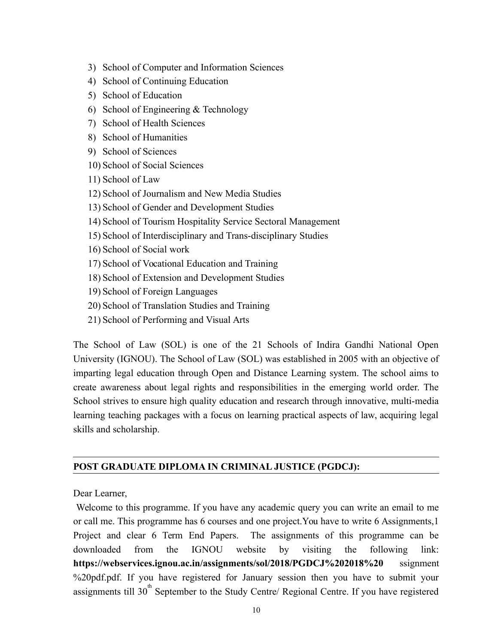- 3) School of Computer and Information Sciences
- 4) School of Continuing Education
- 5) School of Education
- 6) School of Engineering & Technology
- 7) School of Health Sciences
- 8) School of Humanities
- 9) School of Sciences
- 10) School of Social Sciences
- 11) School of Law
- 12) School of Journalism and New Media Studies
- 13) School of Gender and Development Studies
- 14) School of Tourism Hospitality Service Sectoral Management
- 15) School of Interdisciplinary and Trans-disciplinary Studies
- 16) School of Social work
- 17) School of Vocational Education and Training
- 18) School of Extension and Development Studies
- 19) School of Foreign Languages
- 20) School of Translation Studies and Training
- 21) School of Performing and Visual Arts

The School of Law (SOL) is one of the 21 Schools of Indira Gandhi National Open University (IGNOU). The School of Law (SOL) was established in 2005 with an objective of imparting legal education through Open and Distance Learning system. The school aims to create awareness about legal rights and responsibilities in the emerging world order. The School strives to ensure high quality education and research through innovative, multi-media learning teaching packages with a focus on learning practical aspects of law, acquiring legal skills and scholarship.

#### **POST GRADUATE DIPLOMA IN CRIMINAL JUSTICE (PGDCJ):**

Dear Learner,

 Welcome to this programme. If you have any academic query you can write an email to me or call me. This programme has 6 courses and one project.You have to write 6 Assignments,1 Project and clear 6 Term End Papers. The assignments of this programme can be downloaded from the IGNOU website by visiting the following link: **<https://webservices.ignou.ac.in/assignments/sol/2018/PGDCJ%202018%20>** ssignment %20pdf.pdf. If you have registered for January session then you have to submit your assignments till  $30<sup>th</sup>$  September to the Study Centre/ Regional Centre. If you have registered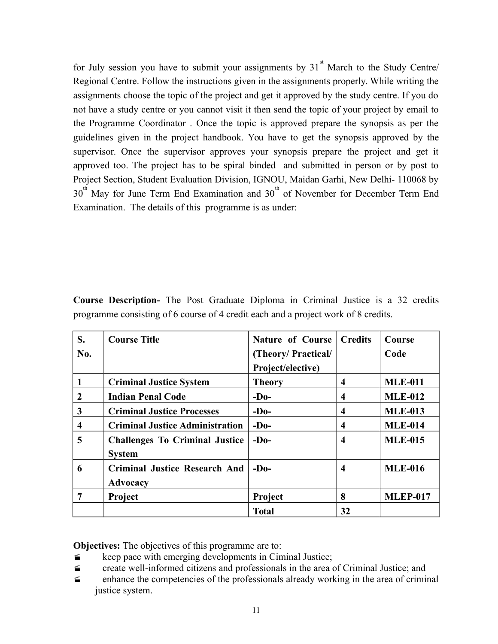for July session you have to submit your assignments by  $31<sup>st</sup>$  March to the Study Centre/ Regional Centre. Follow the instructions given in the assignments properly. While writing the assignments choose the topic of the project and get it approved by the study centre. If you do not have a study centre or you cannot visit it then send the topic of your project by email to the Programme Coordinator . Once the topic is approved prepare the synopsis as per the guidelines given in the project handbook. You have to get the synopsis approved by the supervisor. Once the supervisor approves your synopsis prepare the project and get it approved too. The project has to be spiral binded and submitted in person or by post to Project Section, Student Evaluation Division, IGNOU, Maidan Garhi, New Delhi- 110068 by  $30<sup>th</sup>$  May for June Term End Examination and  $30<sup>th</sup>$  of November for December Term End Examination. The details of this programme is as under:

| S.             | <b>Course Title</b>                    | <b>Nature of Course</b> | <b>Credits</b>          | Course          |
|----------------|----------------------------------------|-------------------------|-------------------------|-----------------|
| No.            |                                        | (Theory/Practical/      |                         | Code            |
|                |                                        | Project/elective)       |                         |                 |
|                | <b>Criminal Justice System</b>         | <b>Theory</b>           | 4                       | <b>MLE-011</b>  |
| $\overline{2}$ | <b>Indian Penal Code</b>               | $-D0$                   | 4                       | <b>MLE-012</b>  |
| 3              | <b>Criminal Justice Processes</b>      | $-D0$                   | 4                       | <b>MLE-013</b>  |
| 4              | <b>Criminal Justice Administration</b> | $-D0$                   | 4                       | <b>MLE-014</b>  |
| 5              | <b>Challenges To Criminal Justice</b>  | $-D0$                   | $\overline{\mathbf{4}}$ | <b>MLE-015</b>  |
|                | <b>System</b>                          |                         |                         |                 |
| 6              | <b>Criminal Justice Research And</b>   | $-D0$                   | 4                       | <b>MLE-016</b>  |
|                | Advocacy                               |                         |                         |                 |
| 7              | Project                                | Project                 | 8                       | <b>MLEP-017</b> |
|                |                                        | <b>Total</b>            | 32                      |                 |

**Course Description-** The Post Graduate Diploma in Criminal Justice is a 32 credits programme consisting of 6 course of 4 credit each and a project work of 8 credits.

**Objectives:** The objectives of this programme are to:

- $\leq$  keep pace with emerging developments in Ciminal Justice;
- create well-informed citizens and professionals in the area of Criminal Justice; and
- $\blacksquare$  enhance the competencies of the professionals already working in the area of criminal justice system.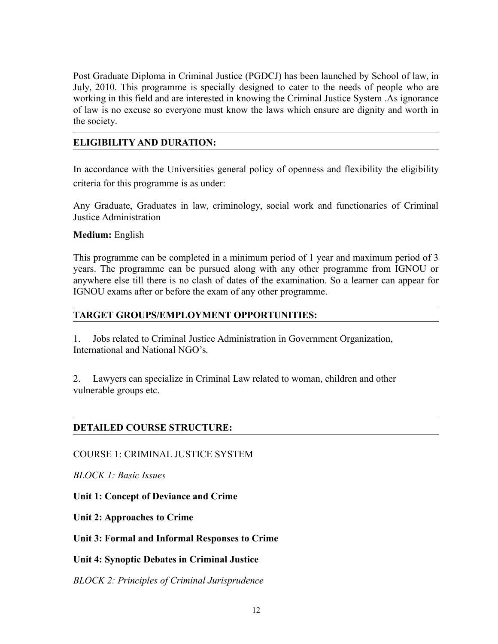Post Graduate Diploma in Criminal Justice (PGDCJ) has been launched by School of law, in July, 2010. This programme is specially designed to cater to the needs of people who are working in this field and are interested in knowing the Criminal Justice System .As ignorance of law is no excuse so everyone must know the laws which ensure are dignity and worth in the society.

## **ELIGIBILITY AND DURATION:**

In accordance with the Universities general policy of openness and flexibility the eligibility criteria for this programme is as under:

Any Graduate, Graduates in law, criminology, social work and functionaries of Criminal Justice Administration

## **Medium:** English

This programme can be completed in a minimum period of 1 year and maximum period of 3 years. The programme can be pursued along with any other programme from IGNOU or anywhere else till there is no clash of dates of the examination. So a learner can appear for IGNOU exams after or before the exam of any other programme.

## **TARGET GROUPS/EMPLOYMENT OPPORTUNITIES:**

1. Jobs related to Criminal Justice Administration in Government Organization, International and National NGO's.

2. Lawyers can specialize in Criminal Law related to woman, children and other vulnerable groups etc.

## **DETAILED COURSE STRUCTURE:**

COURSE 1: CRIMINAL JUSTICE SYSTEM

*BLOCK 1: Basic Issues* 

**Unit 1: Concept of Deviance and Crime**

**Unit 2: Approaches to Crime**

**Unit 3: Formal and Informal Responses to Crime**

**Unit 4: Synoptic Debates in Criminal Justice**

*BLOCK 2: Principles of Criminal Jurisprudence*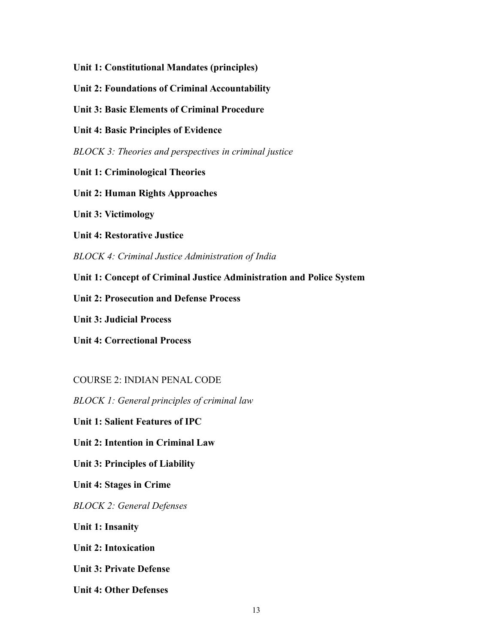**Unit 1: Constitutional Mandates (principles)** 

**Unit 2: Foundations of Criminal Accountability**

**Unit 3: Basic Elements of Criminal Procedure** 

**Unit 4: Basic Principles of Evidence** 

*BLOCK 3: Theories and perspectives in criminal justice* 

**Unit 1: Criminological Theories**

**Unit 2: Human Rights Approaches**

**Unit 3: Victimology**

**Unit 4: Restorative Justice**

*BLOCK 4: Criminal Justice Administration of India* 

**Unit 1: Concept of Criminal Justice Administration and Police System**

**Unit 2: Prosecution and Defense Process**

**Unit 3: Judicial Process**

**Unit 4: Correctional Process**

COURSE 2: INDIAN PENAL CODE

*BLOCK 1: General principles of criminal law* 

**Unit 1: Salient Features of IPC** 

**Unit 2: Intention in Criminal Law**

**Unit 3: Principles of Liability**

**Unit 4: Stages in Crime**

*BLOCK 2: General Defenses* 

**Unit 1: Insanity**

**Unit 2: Intoxication**

**Unit 3: Private Defense**

**Unit 4: Other Defenses**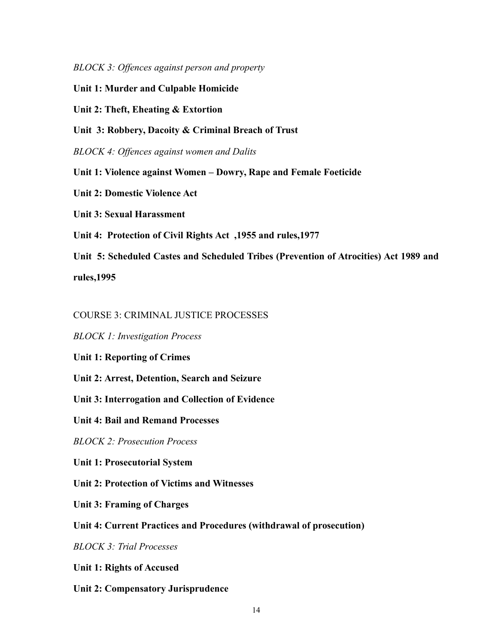*BLOCK 3: Offences against person and property* 

**Unit 1: Murder and Culpable Homicide**

**Unit 2: Theft, Eheating & Extortion** 

**Unit 3: Robbery, Dacoity & Criminal Breach of Trust**

*BLOCK 4: Offences against women and Dalits* 

**Unit 1: Violence against Women – Dowry, Rape and Female Foeticide** 

**Unit 2: Domestic Violence Act**

**Unit 3: Sexual Harassment** 

**Unit 4: Protection of Civil Rights Act ,1955 and rules,1977**

**Unit 5: Scheduled Castes and Scheduled Tribes (Prevention of Atrocities) Act 1989 and rules,1995** 

COURSE 3: CRIMINAL JUSTICE PROCESSES

*BLOCK 1: Investigation Process* 

**Unit 1: Reporting of Crimes**

**Unit 2: Arrest, Detention, Search and Seizure**

**Unit 3: Interrogation and Collection of Evidence**

**Unit 4: Bail and Remand Processes**

*BLOCK 2: Prosecution Process* 

**Unit 1: Prosecutorial System**

**Unit 2: Protection of Victims and Witnesses**

**Unit 3: Framing of Charges**

**Unit 4: Current Practices and Procedures (withdrawal of prosecution)**

*BLOCK 3: Trial Processes* 

**Unit 1: Rights of Accused**

**Unit 2: Compensatory Jurisprudence**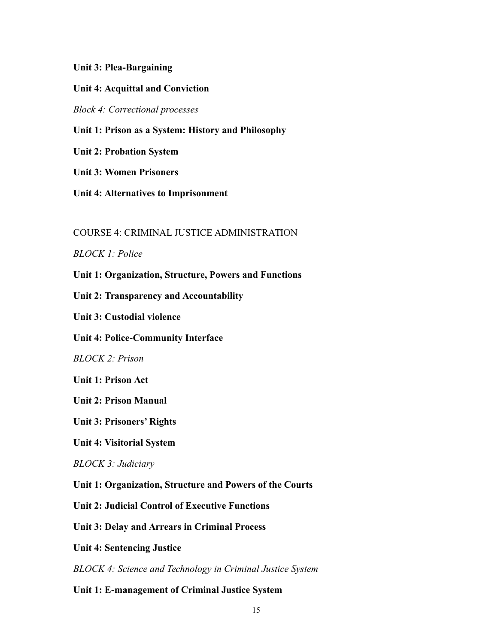#### **Unit 3: Plea-Bargaining**

#### **Unit 4: Acquittal and Conviction**

*Block 4: Correctional processes* 

**Unit 1: Prison as a System: History and Philosophy**

**Unit 2: Probation System**

**Unit 3: Women Prisoners**

**Unit 4: Alternatives to Imprisonment**

#### COURSE 4: CRIMINAL JUSTICE ADMINISTRATION

#### *BLOCK 1: Police*

**Unit 1: Organization, Structure, Powers and Functions**

**Unit 2: Transparency and Accountability**

**Unit 3: Custodial violence**

**Unit 4: Police-Community Interface**

*BLOCK 2: Prison* 

**Unit 1: Prison Act** 

**Unit 2: Prison Manual**

**Unit 3: Prisoners' Rights**

**Unit 4: Visitorial System**

*BLOCK 3: Judiciary*

**Unit 1: Organization, Structure and Powers of the Courts** 

**Unit 2: Judicial Control of Executive Functions**

**Unit 3: Delay and Arrears in Criminal Process**

**Unit 4: Sentencing Justice** 

*BLOCK 4: Science and Technology in Criminal Justice System* 

**Unit 1: E-management of Criminal Justice System**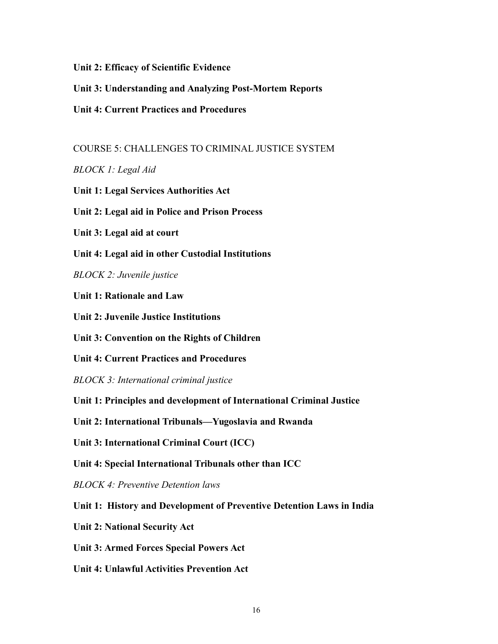**Unit 2: Efficacy of Scientific Evidence**

- **Unit 3: Understanding and Analyzing Post-Mortem Reports**
- **Unit 4: Current Practices and Procedures**

COURSE 5: CHALLENGES TO CRIMINAL JUSTICE SYSTEM

*BLOCK 1: Legal Aid* 

- **Unit 1: Legal Services Authorities Act**
- **Unit 2: Legal aid in Police and Prison Process**
- **Unit 3: Legal aid at court**

**Unit 4: Legal aid in other Custodial Institutions**

*BLOCK 2: Juvenile justice* 

**Unit 1: Rationale and Law** 

**Unit 2: Juvenile Justice Institutions**

**Unit 3: Convention on the Rights of Children**

**Unit 4: Current Practices and Procedures** 

- *BLOCK 3: International criminal justice*
- **Unit 1: Principles and development of International Criminal Justice**
- **Unit 2: International Tribunals—Yugoslavia and Rwanda**
- **Unit 3: International Criminal Court (ICC)**
- **Unit 4: Special International Tribunals other than ICC**
- *BLOCK 4: Preventive Detention laws*
- **Unit 1: History and Development of Preventive Detention Laws in India**
- **Unit 2: National Security Act**
- **Unit 3: Armed Forces Special Powers Act**
- **Unit 4: Unlawful Activities Prevention Act**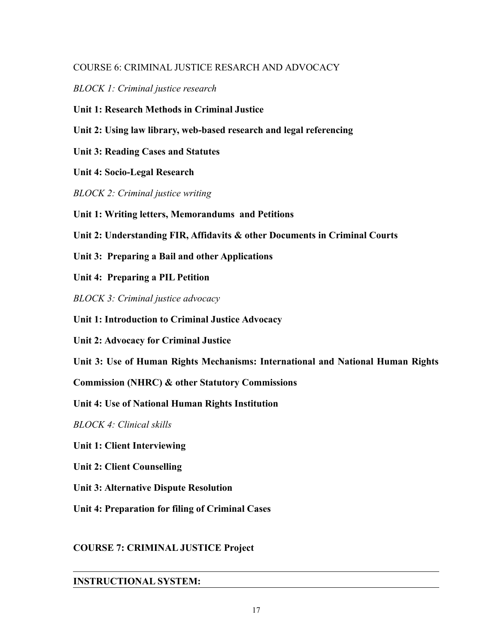## COURSE 6: CRIMINAL JUSTICE RESARCH AND ADVOCACY

*BLOCK 1: Criminal justice research* 

**Unit 1: Research Methods in Criminal Justice**

**Unit 2: Using law library, web-based research and legal referencing** 

**Unit 3: Reading Cases and Statutes**

**Unit 4: Socio-Legal Research**

*BLOCK 2: Criminal justice writing* 

**Unit 1: Writing letters, Memorandums and Petitions**

**Unit 2: Understanding FIR, Affidavits & other Documents in Criminal Courts**

**Unit 3: Preparing a Bail and other Applications**

**Unit 4: Preparing a PIL Petition**

*BLOCK 3: Criminal justice advocacy* 

**Unit 1: Introduction to Criminal Justice Advocacy**

**Unit 2: Advocacy for Criminal Justice**

**Unit 3: Use of Human Rights Mechanisms: International and National Human Rights**

**Commission (NHRC) & other Statutory Commissions**

**Unit 4: Use of National Human Rights Institution** 

*BLOCK 4: Clinical skills* 

**Unit 1: Client Interviewing**

**Unit 2: Client Counselling**

**Unit 3: Alternative Dispute Resolution**

**Unit 4: Preparation for filing of Criminal Cases**

## **COURSE 7: CRIMINAL JUSTICE Project**

# **INSTRUCTIONAL SYSTEM:**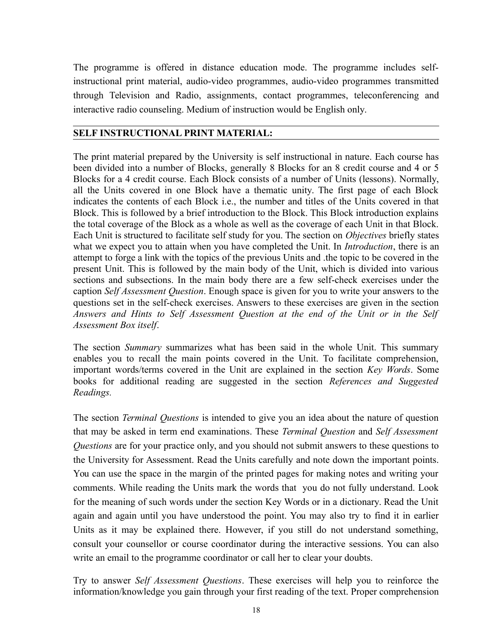The programme is offered in distance education mode. The programme includes selfinstructional print material, audio-video programmes, audio-video programmes transmitted through Television and Radio, assignments, contact programmes, teleconferencing and interactive radio counseling. Medium of instruction would be English only.

#### **SELF INSTRUCTIONAL PRINT MATERIAL:**

The print material prepared by the University is self instructional in nature. Each course has been divided into a number of Blocks, generally 8 Blocks for an 8 credit course and 4 or 5 Blocks for a 4 credit course. Each Block consists of a number of Units (lessons). Normally, all the Units covered in one Block have a thematic unity. The first page of each Block indicates the contents of each Block i.e., the number and titles of the Units covered in that Block. This is followed by a brief introduction to the Block. This Block introduction explains the total coverage of the Block as a whole as well as the coverage of each Unit in that Block. Each Unit is structured to facilitate self study for you. The section on *Objectives* briefly states what we expect you to attain when you have completed the Unit. In *Introduction*, there is an attempt to forge a link with the topics of the previous Units and .the topic to be covered in the present Unit. This is followed by the main body of the Unit, which is divided into various sections and subsections. In the main body there are a few self-check exercises under the caption *Self Assessment Question*. Enough space is given for you to write your answers to the questions set in the self-check exercises. Answers to these exercises are given in the section *Answers and Hints to Self Assessment Question at the end of the Unit or in the Self Assessment Box itself*.

The section *Summary* summarizes what has been said in the whole Unit. This summary enables you to recall the main points covered in the Unit. To facilitate comprehension, important words/terms covered in the Unit are explained in the section *Key Words*. Some books for additional reading are suggested in the section *References and Suggested Readings.*

The section *Terminal Questions* is intended to give you an idea about the nature of question that may be asked in term end examinations. These *Terminal Question* and *Self Assessment Questions* are for your practice only, and you should not submit answers to these questions to the University for Assessment. Read the Units carefully and note down the important points. You can use the space in the margin of the printed pages for making notes and writing your comments. While reading the Units mark the words that you do not fully understand. Look for the meaning of such words under the section Key Words or in a dictionary. Read the Unit again and again until you have understood the point. You may also try to find it in earlier Units as it may be explained there. However, if you still do not understand something, consult your counsellor or course coordinator during the interactive sessions. You can also write an email to the programme coordinator or call her to clear your doubts.

Try to answer *Self Assessment Questions*. These exercises will help you to reinforce the information/knowledge you gain through your first reading of the text. Proper comprehension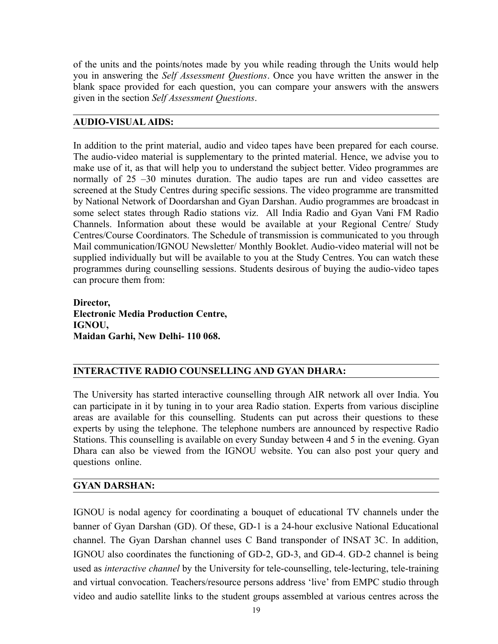of the units and the points/notes made by you while reading through the Units would help you in answering the *Self Assessment Questions*. Once you have written the answer in the blank space provided for each question, you can compare your answers with the answers given in the section *Self Assessment Questions*.

#### **AUDIO-VISUAL AIDS:**

In addition to the print material, audio and video tapes have been prepared for each course. The audio-video material is supplementary to the printed material. Hence, we advise you to make use of it, as that will help you to understand the subject better. Video programmes are normally of 25 –30 minutes duration. The audio tapes are run and video cassettes are screened at the Study Centres during specific sessions. The video programme are transmitted by National Network of Doordarshan and Gyan Darshan. Audio programmes are broadcast in some select states through Radio stations viz. All India Radio and Gyan Vani FM Radio Channels. Information about these would be available at your Regional Centre/ Study Centres/Course Coordinators. The Schedule of transmission is communicated to you through Mail communication/IGNOU Newsletter/ Monthly Booklet. Audio-video material will not be supplied individually but will be available to you at the Study Centres. You can watch these programmes during counselling sessions. Students desirous of buying the audio-video tapes can procure them from:

**Director, Electronic Media Production Centre, IGNOU, Maidan Garhi, New Delhi- 110 068.** 

# **INTERACTIVE RADIO COUNSELLING AND GYAN DHARA:**

The University has started interactive counselling through AIR network all over India. You can participate in it by tuning in to your area Radio station. Experts from various discipline areas are available for this counselling. Students can put across their questions to these experts by using the telephone. The telephone numbers are announced by respective Radio Stations. This counselling is available on every Sunday between 4 and 5 in the evening. Gyan Dhara can also be viewed from the IGNOU website. You can also post your query and questions online.

## **GYAN DARSHAN:**

IGNOU is nodal agency for coordinating a bouquet of educational TV channels under the banner of Gyan Darshan (GD). Of these, GD-1 is a 24-hour exclusive National Educational channel. The Gyan Darshan channel uses C Band transponder of INSAT 3C. In addition, IGNOU also coordinates the functioning of GD-2, GD-3, and GD-4. GD-2 channel is being used as *interactive channel* by the University for tele-counselling, tele-lecturing, tele-training and virtual convocation. Teachers/resource persons address 'live' from EMPC studio through video and audio satellite links to the student groups assembled at various centres across the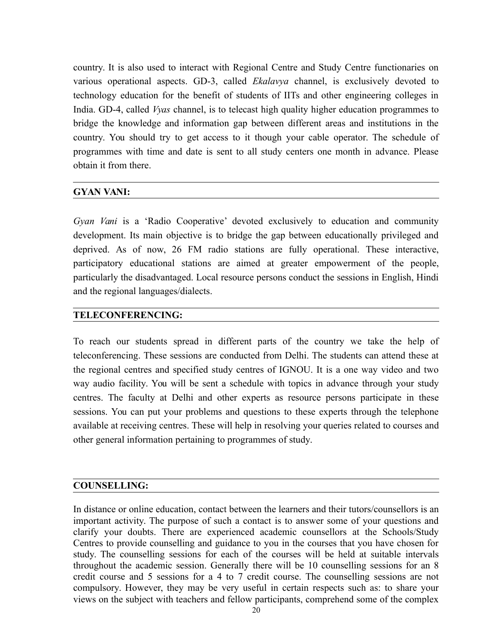country. It is also used to interact with Regional Centre and Study Centre functionaries on various operational aspects. GD-3, called *Ekalavya* channel, is exclusively devoted to technology education for the benefit of students of IITs and other engineering colleges in India. GD-4, called *Vyas* channel, is to telecast high quality higher education programmes to bridge the knowledge and information gap between different areas and institutions in the country. You should try to get access to it though your cable operator. The schedule of programmes with time and date is sent to all study centers one month in advance. Please obtain it from there.

## **GYAN VANI:**

*Gyan Vani* is a 'Radio Cooperative' devoted exclusively to education and community development. Its main objective is to bridge the gap between educationally privileged and deprived. As of now, 26 FM radio stations are fully operational. These interactive, participatory educational stations are aimed at greater empowerment of the people, particularly the disadvantaged. Local resource persons conduct the sessions in English, Hindi and the regional languages/dialects.

## **TELECONFERENCING:**

To reach our students spread in different parts of the country we take the help of teleconferencing. These sessions are conducted from Delhi. The students can attend these at the regional centres and specified study centres of IGNOU. It is a one way video and two way audio facility. You will be sent a schedule with topics in advance through your study centres. The faculty at Delhi and other experts as resource persons participate in these sessions. You can put your problems and questions to these experts through the telephone available at receiving centres. These will help in resolving your queries related to courses and other general information pertaining to programmes of study.

## **COUNSELLING:**

In distance or online education, contact between the learners and their tutors/counsellors is an important activity. The purpose of such a contact is to answer some of your questions and clarify your doubts. There are experienced academic counsellors at the Schools/Study Centres to provide counselling and guidance to you in the courses that you have chosen for study. The counselling sessions for each of the courses will be held at suitable intervals throughout the academic session. Generally there will be 10 counselling sessions for an 8 credit course and 5 sessions for a 4 to 7 credit course. The counselling sessions are not compulsory. However, they may be very useful in certain respects such as: to share your views on the subject with teachers and fellow participants, comprehend some of the complex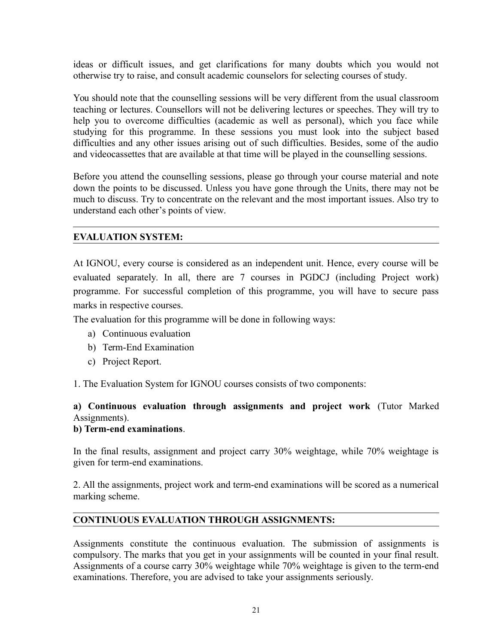ideas or difficult issues, and get clarifications for many doubts which you would not otherwise try to raise, and consult academic counselors for selecting courses of study.

You should note that the counselling sessions will be very different from the usual classroom teaching or lectures. Counsellors will not be delivering lectures or speeches. They will try to help you to overcome difficulties (academic as well as personal), which you face while studying for this programme. In these sessions you must look into the subject based difficulties and any other issues arising out of such difficulties. Besides, some of the audio and videocassettes that are available at that time will be played in the counselling sessions.

Before you attend the counselling sessions, please go through your course material and note down the points to be discussed. Unless you have gone through the Units, there may not be much to discuss. Try to concentrate on the relevant and the most important issues. Also try to understand each other's points of view.

# **EVALUATION SYSTEM:**

At IGNOU, every course is considered as an independent unit. Hence, every course will be evaluated separately. In all, there are 7 courses in PGDCJ (including Project work) programme. For successful completion of this programme, you will have to secure pass marks in respective courses.

The evaluation for this programme will be done in following ways:

- a) Continuous evaluation
- b) Term-End Examination
- c) Project Report.

1. The Evaluation System for IGNOU courses consists of two components:

# **a) Continuous evaluation through assignments and project work** (Tutor Marked Assignments).

#### **b) Term-end examinations**.

In the final results, assignment and project carry 30% weightage, while 70% weightage is given for term-end examinations.

2. All the assignments, project work and term-end examinations will be scored as a numerical marking scheme.

## **CONTINUOUS EVALUATION THROUGH ASSIGNMENTS:**

Assignments constitute the continuous evaluation. The submission of assignments is compulsory. The marks that you get in your assignments will be counted in your final result. Assignments of a course carry 30% weightage while 70% weightage is given to the term-end examinations. Therefore, you are advised to take your assignments seriously.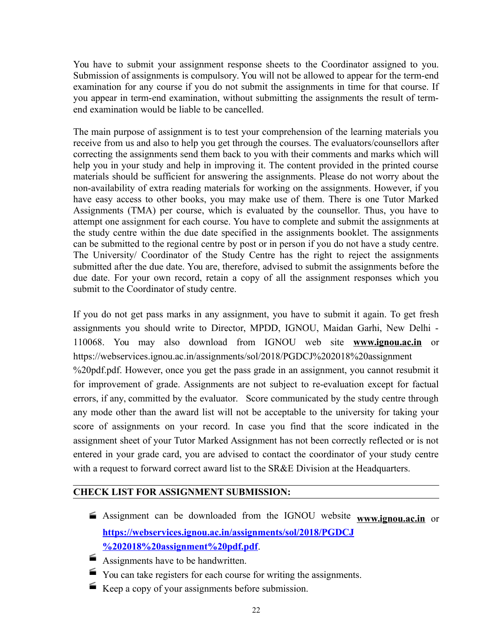You have to submit your assignment response sheets to the Coordinator assigned to you. Submission of assignments is compulsory. You will not be allowed to appear for the term-end examination for any course if you do not submit the assignments in time for that course. If you appear in term-end examination, without submitting the assignments the result of termend examination would be liable to be cancelled.

The main purpose of assignment is to test your comprehension of the learning materials you receive from us and also to help you get through the courses. The evaluators/counsellors after correcting the assignments send them back to you with their comments and marks which will help you in your study and help in improving it. The content provided in the printed course materials should be sufficient for answering the assignments. Please do not worry about the non-availability of extra reading materials for working on the assignments. However, if you have easy access to other books, you may make use of them. There is one Tutor Marked Assignments (TMA) per course, which is evaluated by the counsellor. Thus, you have to attempt one assignment for each course. You have to complete and submit the assignments at the study centre within the due date specified in the assignments booklet. The assignments can be submitted to the regional centre by post or in person if you do not have a study centre. The University/ Coordinator of the Study Centre has the right to reject the assignments submitted after the due date. You are, therefore, advised to submit the assignments before the due date. For your own record, retain a copy of all the assignment responses which you submit to the Coordinator of study centre.

If you do not get pass marks in any assignment, you have to submit it again. To get fresh assignments you should write to Director, MPDD, IGNOU, Maidan Garhi, New Delhi - 110068. You may also download from IGNOU web site **[www.ignou.ac.in](http://www.ignou.ac.in/)** or https://webservices.ignou.ac.in/assignments/sol/2018/PGDCJ%202018%20assignment %20pdf.pdf. However, once you get the pass grade in an assignment, you cannot resubmit it for improvement of grade. Assignments are not subject to re-evaluation except for factual errors, if any, committed by the evaluator. Score communicated by the study centre through any mode other than the award list will not be acceptable to the university for taking your score of assignments on your record. In case you find that the score indicated in the assignment sheet of your Tutor Marked Assignment has not been correctly reflected or is not entered in your grade card, you are advised to contact the coordinator of your study centre with a request to forward correct award list to the SR&E Division at the Headquarters.

#### **CHECK LIST FOR ASSIGNMENT SUBMISSION:**

- Assignment can be downloaded from the IGNOU website **[www.ignou.ac.in](http://www.ignou.ac.in/)** or **[https://webservices.ignou.ac.in/assignments/sol/2018/PGDCJ](https://webservices.ignou.ac.in/assignments/sol/2018/PGDCJ%202018%20assignment%20pdf.pdf) [%202018%20assignment%20pdf.pdf](https://webservices.ignou.ac.in/assignments/sol/2018/PGDCJ%202018%20assignment%20pdf.pdf)**.
- Assignments have to be handwritten.
- You can take registers for each course for writing the assignments.
- Keep a copy of your assignments before submission.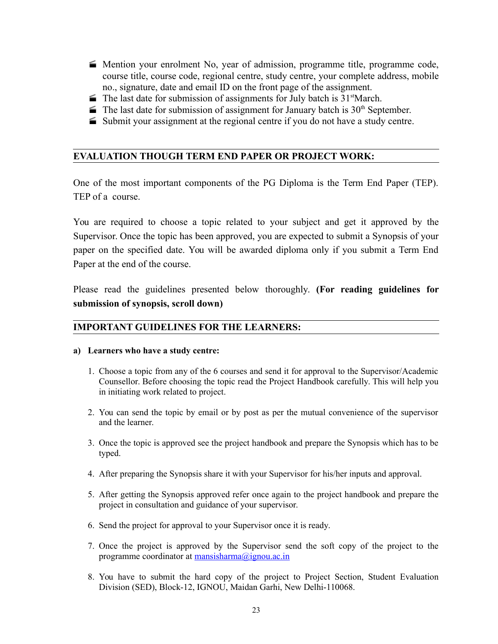- Mention your enrolment No, year of admission, programme title, programme code, course title, course code, regional centre, study centre, your complete address, mobile no., signature, date and email ID on the front page of the assignment.
- $\blacktriangleright$  The last date for submission of assignments for July batch is 31<sup>st</sup>March.
- $\blacktriangleright$  The last date for submission of assignment for January batch is 30<sup>th</sup> September.
- Submit your assignment at the regional centre if you do not have a study centre.

#### **EVALUATION THOUGH TERM END PAPER OR PROJECT WORK:**

One of the most important components of the PG Diploma is the Term End Paper (TEP). TEP of a course.

You are required to choose a topic related to your subject and get it approved by the Supervisor. Once the topic has been approved, you are expected to submit a Synopsis of your paper on the specified date. You will be awarded diploma only if you submit a Term End Paper at the end of the course.

Please read the guidelines presented below thoroughly. **(For reading guidelines for submission of synopsis, scroll down)**

#### **IMPORTANT GUIDELINES FOR THE LEARNERS:**

#### **a) Learners who have a study centre:**

- 1. Choose a topic from any of the 6 courses and send it for approval to the Supervisor/Academic Counsellor. Before choosing the topic read the Project Handbook carefully. This will help you in initiating work related to project.
- 2. You can send the topic by email or by post as per the mutual convenience of the supervisor and the learner.
- 3. Once the topic is approved see the project handbook and prepare the Synopsis which has to be typed.
- 4. After preparing the Synopsis share it with your Supervisor for his/her inputs and approval.
- 5. After getting the Synopsis approved refer once again to the project handbook and prepare the project in consultation and guidance of your supervisor.
- 6. Send the project for approval to your Supervisor once it is ready.
- 7. Once the project is approved by the Supervisor send the soft copy of the project to the programme coordinator at [mansisharma@ignou.ac.in](mailto:mansisharma@ignou.ac.in)
- 8. You have to submit the hard copy of the project to Project Section, Student Evaluation Division (SED), Block-12, IGNOU, Maidan Garhi, New Delhi-110068.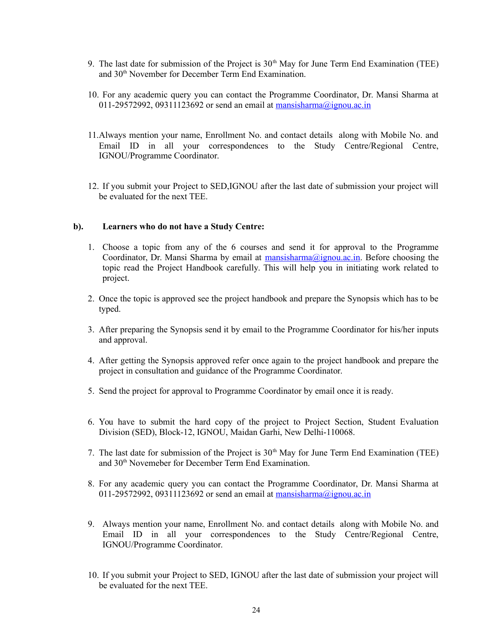- 9. The last date for submission of the Project is  $30<sup>th</sup>$  May for June Term End Examination (TEE) and 30th November for December Term End Examination.
- 10. For any academic query you can contact the Programme Coordinator, Dr. Mansi Sharma at 011-29572992, 09311123692 or send an email at [mansisharma@ignou.ac.in](mailto:mansisharma@ignou.ac.in)
- 11.Always mention your name, Enrollment No. and contact details along with Mobile No. and Email ID in all your correspondences to the Study Centre/Regional Centre, IGNOU/Programme Coordinator.
- 12. If you submit your Project to SED,IGNOU after the last date of submission your project will be evaluated for the next TEE.

#### **b). Learners who do not have a Study Centre:**

- 1. Choose a topic from any of the 6 courses and send it for approval to the Programme Coordinator, Dr. Mansi Sharma by email at [mansisharma@ignou.ac.in.](mailto:mansisharma@ignou.ac.in) Before choosing the topic read the Project Handbook carefully. This will help you in initiating work related to project.
- 2. Once the topic is approved see the project handbook and prepare the Synopsis which has to be typed.
- 3. After preparing the Synopsis send it by email to the Programme Coordinator for his/her inputs and approval.
- 4. After getting the Synopsis approved refer once again to the project handbook and prepare the project in consultation and guidance of the Programme Coordinator.
- 5. Send the project for approval to Programme Coordinator by email once it is ready.
- 6. You have to submit the hard copy of the project to Project Section, Student Evaluation Division (SED), Block-12, IGNOU, Maidan Garhi, New Delhi-110068.
- 7. The last date for submission of the Project is  $30<sup>th</sup>$  May for June Term End Examination (TEE) and 30th Novemeber for December Term End Examination.
- 8. For any academic query you can contact the Programme Coordinator, Dr. Mansi Sharma at 011-29572992, 09311123692 or send an email at  $\frac{massisharma@ipnou.ac.in}{maxisharma@ipnou.ac.in}$
- 9. Always mention your name, Enrollment No. and contact details along with Mobile No. and Email ID in all your correspondences to the Study Centre/Regional Centre, IGNOU/Programme Coordinator.
- 10. If you submit your Project to SED, IGNOU after the last date of submission your project will be evaluated for the next TEE.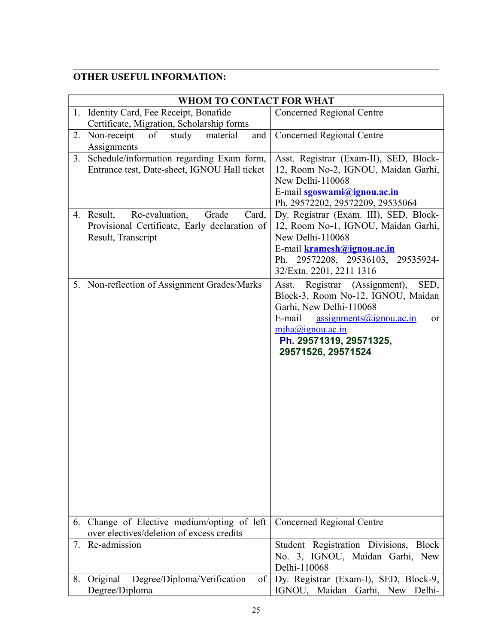# **OTHER USEFUL INFORMATION:**

| WHOM TO CONTACT FOR WHAT                                                                                              |                                                                                                                                                                                                                                                          |  |  |
|-----------------------------------------------------------------------------------------------------------------------|----------------------------------------------------------------------------------------------------------------------------------------------------------------------------------------------------------------------------------------------------------|--|--|
| 1. Identity Card, Fee Receipt, Bonafide<br>Certificate, Migration, Scholarship forms                                  | Concerned Regional Centre                                                                                                                                                                                                                                |  |  |
| Non-receipt<br>of<br>study<br>material<br>and<br>2.<br>Assignments                                                    | Concerned Regional Centre                                                                                                                                                                                                                                |  |  |
| Schedule/information regarding Exam form,<br>3.<br>Entrance test, Date-sheet, IGNOU Hall ticket                       | Asst. Registrar (Exam-II), SED, Block-<br>12, Room No-2, IGNOU, Maidan Garhi,<br>New Delhi-110068<br>E-mail sgoswami@ignou.ac.in<br>Ph. 29572202, 29572209, 29535064                                                                                     |  |  |
| Re-evaluation,<br>Grade<br>4. Result,<br>Card,<br>Provisional Certificate, Early declaration of<br>Result, Transcript | Dy. Registrar (Exam. III), SED, Block-<br>12, Room No-1, IGNOU, Maidan Garhi,<br>New Delhi-110068<br>E-mail kramesh@ignou.ac.in<br>Ph. 29572208, 29536103, 29535924-<br>32/Extn. 2201, 2211 1316                                                         |  |  |
| 5. Non-reflection of Assignment Grades/Marks                                                                          | Registrar (Assignment),<br>SED,<br>Asst.<br>Block-3, Room No-12, IGNOU, Maidan<br>Garhi, New Delhi-110068<br>E-mail<br>$\overline{assignments(\omega)$ ignou.ac.in<br><sub>or</sub><br>mjha@ignou.ac.in<br>Ph. 29571319, 29571325,<br>29571526, 29571524 |  |  |
| 6. Change of Elective medium/opting of left<br>over electives/deletion of excess credits                              | <b>Concerned Regional Centre</b>                                                                                                                                                                                                                         |  |  |
| Re-admission<br>7.                                                                                                    | Student Registration Divisions, Block<br>No. 3, IGNOU, Maidan Garhi, New<br>Delhi-110068                                                                                                                                                                 |  |  |
| Degree/Diploma/Verification<br>Original<br>of<br>8.<br>Degree/Diploma                                                 | Dy. Registrar (Exam-I), SED, Block-9,<br>IGNOU, Maidan Garhi, New Delhi-                                                                                                                                                                                 |  |  |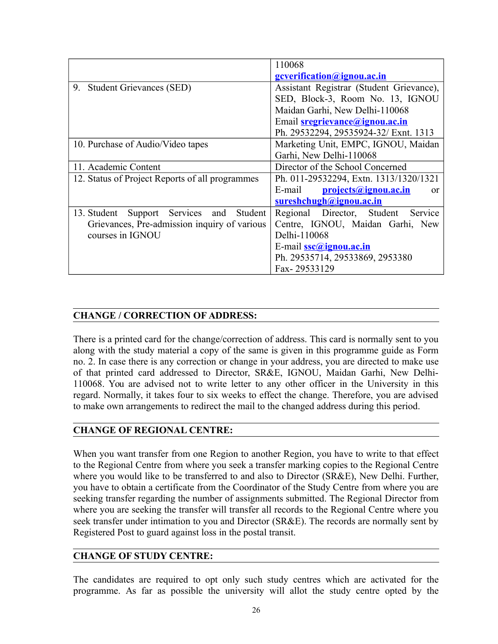|                                                 | 110068                                   |  |  |
|-------------------------------------------------|------------------------------------------|--|--|
|                                                 | <u>ecverification@ignou.ac.in</u>        |  |  |
| 9. Student Grievances (SED)                     | Assistant Registrar (Student Grievance), |  |  |
|                                                 | SED, Block-3, Room No. 13, IGNOU         |  |  |
|                                                 | Maidan Garhi, New Delhi-110068           |  |  |
|                                                 | Email <b>sregrievance@ignou.ac.in</b>    |  |  |
|                                                 | Ph. 29532294, 29535924-32/ Exnt. 1313    |  |  |
| 10. Purchase of Audio/Video tapes               | Marketing Unit, EMPC, IGNOU, Maidan      |  |  |
|                                                 | Garhi, New Delhi-110068                  |  |  |
| 11. Academic Content                            | Director of the School Concerned         |  |  |
| 12. Status of Project Reports of all programmes | Ph. 011-29532294, Extn. 1313/1320/1321   |  |  |
|                                                 | projects@ignou.ac.in<br>E-mail<br>or     |  |  |
|                                                 | sureshchugh@ignou.ac.in                  |  |  |
| Support Services and<br>13. Student<br>Student  | Regional Director, Student Service       |  |  |
| Grievances, Pre-admission inquiry of various    | Centre, IGNOU, Maidan Garhi, New         |  |  |
| courses in IGNOU                                | Delhi-110068                             |  |  |
|                                                 | E-mail <b>ssc</b> @ignou.ac.in           |  |  |
|                                                 | Ph. 29535714, 29533869, 2953380          |  |  |
|                                                 | Fax-29533129                             |  |  |

# **CHANGE / CORRECTION OF ADDRESS:**

There is a printed card for the change/correction of address. This card is normally sent to you along with the study material a copy of the same is given in this programme guide as Form no. 2. In case there is any correction or change in your address, you are directed to make use of that printed card addressed to Director, SR&E, IGNOU, Maidan Garhi, New Delhi-110068. You are advised not to write letter to any other officer in the University in this regard. Normally, it takes four to six weeks to effect the change. Therefore, you are advised to make own arrangements to redirect the mail to the changed address during this period.

## **CHANGE OF REGIONAL CENTRE:**

When you want transfer from one Region to another Region, you have to write to that effect to the Regional Centre from where you seek a transfer marking copies to the Regional Centre where you would like to be transferred to and also to Director (SR&E), New Delhi. Further, you have to obtain a certificate from the Coordinator of the Study Centre from where you are seeking transfer regarding the number of assignments submitted. The Regional Director from where you are seeking the transfer will transfer all records to the Regional Centre where you seek transfer under intimation to you and Director (SR&E). The records are normally sent by Registered Post to guard against loss in the postal transit.

## **CHANGE OF STUDY CENTRE:**

The candidates are required to opt only such study centres which are activated for the programme. As far as possible the university will allot the study centre opted by the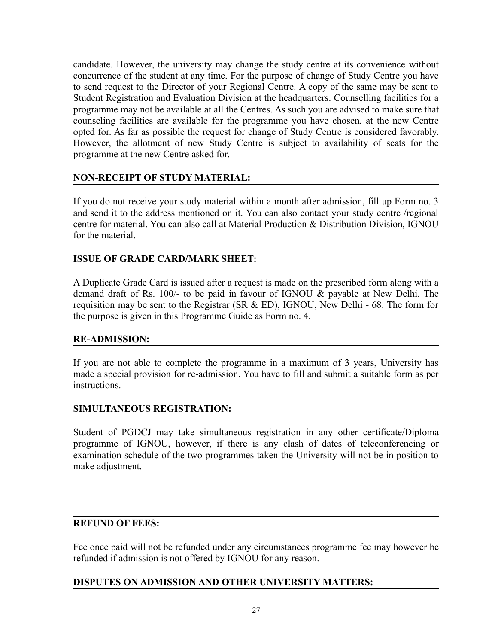candidate. However, the university may change the study centre at its convenience without concurrence of the student at any time. For the purpose of change of Study Centre you have to send request to the Director of your Regional Centre. A copy of the same may be sent to Student Registration and Evaluation Division at the headquarters. Counselling facilities for a programme may not be available at all the Centres. As such you are advised to make sure that counseling facilities are available for the programme you have chosen, at the new Centre opted for. As far as possible the request for change of Study Centre is considered favorably. However, the allotment of new Study Centre is subject to availability of seats for the programme at the new Centre asked for.

## **NON-RECEIPT OF STUDY MATERIAL:**

If you do not receive your study material within a month after admission, fill up Form no. 3 and send it to the address mentioned on it. You can also contact your study centre /regional centre for material. You can also call at Material Production & Distribution Division, IGNOU for the material.

## **ISSUE OF GRADE CARD/MARK SHEET:**

A Duplicate Grade Card is issued after a request is made on the prescribed form along with a demand draft of Rs. 100/- to be paid in favour of IGNOU & payable at New Delhi. The requisition may be sent to the Registrar (SR & ED), IGNOU, New Delhi - 68. The form for the purpose is given in this Programme Guide as Form no. 4.

## **RE-ADMISSION:**

If you are not able to complete the programme in a maximum of 3 years, University has made a special provision for re-admission. You have to fill and submit a suitable form as per instructions.

## **SIMULTANEOUS REGISTRATION:**

Student of PGDCJ may take simultaneous registration in any other certificate/Diploma programme of IGNOU, however, if there is any clash of dates of teleconferencing or examination schedule of the two programmes taken the University will not be in position to make adjustment.

## **REFUND OF FEES:**

Fee once paid will not be refunded under any circumstances programme fee may however be refunded if admission is not offered by IGNOU for any reason.

# **DISPUTES ON ADMISSION AND OTHER UNIVERSITY MATTERS:**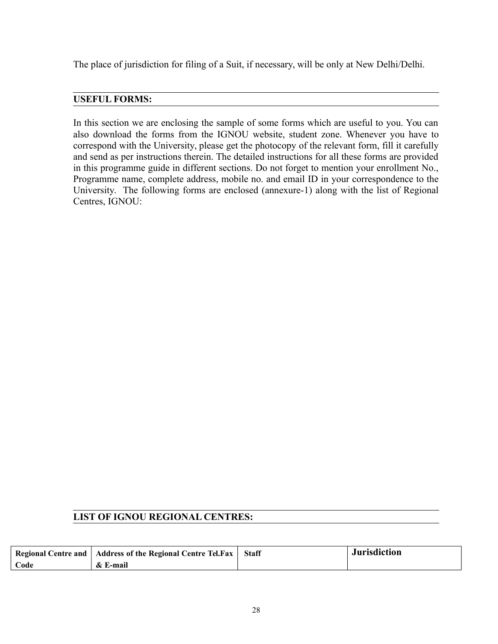The place of jurisdiction for filing of a Suit, if necessary, will be only at New Delhi/Delhi.

# **USEFUL FORMS:**

In this section we are enclosing the sample of some forms which are useful to you. You can also download the forms from the IGNOU website, student zone. Whenever you have to correspond with the University, please get the photocopy of the relevant form, fill it carefully and send as per instructions therein. The detailed instructions for all these forms are provided in this programme guide in different sections. Do not forget to mention your enrollment No., Programme name, complete address, mobile no. and email ID in your correspondence to the University. The following forms are enclosed (annexure-1) along with the list of Regional Centres, IGNOU:

## **LIST OF IGNOU REGIONAL CENTRES:**

|      | Regional Centre and   Address of the Regional Centre Tel.Fax   Staff | <b>Jurisdiction</b> |
|------|----------------------------------------------------------------------|---------------------|
| Code | & E-mail                                                             |                     |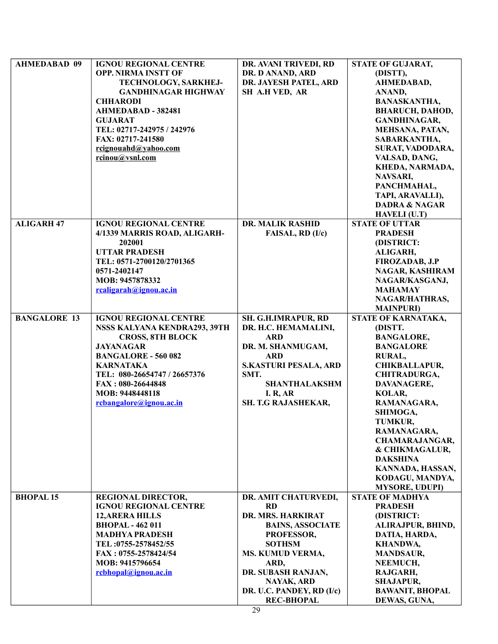| <b>AHMEDABAD 09</b> | <b>IGNOU REGIONAL CENTRE</b> | DR. AVANI TRIVEDI, RD        | STATE OF GUJARAT,        |
|---------------------|------------------------------|------------------------------|--------------------------|
|                     | <b>OPP. NIRMA INSTT OF</b>   | DR. D ANAND, ARD             | (DISTT),                 |
|                     | TECHNOLOGY, SARKHEJ-         | DR. JAYESH PATEL, ARD        | AHMEDABAD,               |
|                     | <b>GANDHINAGAR HIGHWAY</b>   | SH A.H VED, AR               | ANAND,                   |
|                     | <b>CHHARODI</b>              |                              | <b>BANASKANTHA,</b>      |
|                     | AHMEDABAD - 382481           |                              | <b>BHARUCH, DAHOD,</b>   |
|                     | <b>GUJARAT</b>               |                              | <b>GANDHINAGAR,</b>      |
|                     |                              |                              |                          |
|                     | TEL: 02717-242975 / 242976   |                              | MEHSANA, PATAN,          |
|                     | FAX: 02717-241580            |                              | SABARKANTHA,             |
|                     | rcignouahd@yahoo.com         |                              | SURAT, VADODARA,         |
|                     | rcinou@vsnl.com              |                              | VALSAD, DANG,            |
|                     |                              |                              | KHEDA, NARMADA,          |
|                     |                              |                              | NAVSARI,                 |
|                     |                              |                              | PANCHMAHAL,              |
|                     |                              |                              | TAPI, ARAVALLI),         |
|                     |                              |                              | <b>DADRA &amp; NAGAR</b> |
|                     |                              |                              | HAVELI (U.T)             |
| <b>ALIGARH 47</b>   | <b>IGNOU REGIONAL CENTRE</b> | DR. MALIK RASHID             | <b>STATE OF UTTAR</b>    |
|                     | 4/1339 MARRIS ROAD, ALIGARH- | FAISAL, RD (I/c)             | <b>PRADESH</b>           |
|                     | 202001                       |                              | (DISTRICT:               |
|                     | <b>UTTAR PRADESH</b>         |                              | ALIGARH,                 |
|                     | TEL: 0571-2700120/2701365    |                              | <b>FIROZADAB, J.P</b>    |
|                     |                              |                              |                          |
|                     | 0571-2402147                 |                              | NAGAR, KASHIRAM          |
|                     | MOB: 9457878332              |                              | NAGAR/KASGANJ,           |
|                     | rcaligarah@ignou.ac.in       |                              | <b>MAHAMAY</b>           |
|                     |                              |                              | NAGAR/HATHRAS,           |
|                     |                              |                              | <b>MAINPURI</b> )        |
| <b>BANGALORE 13</b> | <b>IGNOU REGIONAL CENTRE</b> | SH. G.H.IMRAPUR, RD          | STATE OF KARNATAKA,      |
|                     | NSSS KALYANA KENDRA293, 39TH | DR. H.C. HEMAMALINI,         | (DISTT.                  |
|                     | <b>CROSS, 8TH BLOCK</b>      | <b>ARD</b>                   | <b>BANGALORE,</b>        |
|                     | <b>JAYANAGAR</b>             | DR. M. SHANMUGAM,            | <b>BANGALORE</b>         |
|                     | <b>BANGALORE - 560 082</b>   | <b>ARD</b>                   | <b>RURAL,</b>            |
|                     | <b>KARNATAKA</b>             | <b>S.KASTURI PESALA, ARD</b> | CHIKBALLAPUR,            |
|                     | TEL: 080-26654747 / 26657376 | SMT.                         | <b>CHITRADURGA,</b>      |
|                     | FAX: 080-26644848            | <b>SHANTHALAKSHM</b>         | DAVANAGERE,              |
|                     | MOB: 9448448118              | <b>I. R, AR</b>              | KOLAR,                   |
|                     | rcbangalore@ignou.ac.in      | SH. T.G RAJASHEKAR,          | RAMANAGARA,              |
|                     |                              |                              | SHIMOGA,                 |
|                     |                              |                              |                          |
|                     |                              |                              | <b>TUMKUR,</b>           |
|                     |                              |                              | RAMANAGARA,              |
|                     |                              |                              | <b>CHAMARAJANGAR,</b>    |
|                     |                              |                              | & CHIKMAGALUR,           |
|                     |                              |                              | <b>DAKSHINA</b>          |
|                     |                              |                              | KANNADA, HASSAN,         |
|                     |                              |                              | KODAGU, MANDYA,          |
|                     |                              |                              | <b>MYSORE, UDUPI)</b>    |
| <b>BHOPAL 15</b>    | <b>REGIONAL DIRECTOR,</b>    | DR. AMIT CHATURVEDI,         | <b>STATE OF MADHYA</b>   |
|                     | <b>IGNOU REGIONAL CENTRE</b> | <b>RD</b>                    | <b>PRADESH</b>           |
|                     | <b>12, ARERA HILLS</b>       | DR. MRS. HARKIRAT            | (DISTRICT:               |
|                     | <b>BHOPAL - 462 011</b>      | <b>BAINS, ASSOCIATE</b>      | ALIRAJPUR, BHIND,        |
|                     | <b>MADHYA PRADESH</b>        | PROFESSOR,                   | DATIA, HARDA,            |
|                     | TEL:0755-2578452/55          | <b>SOTHSM</b>                | <b>KHANDWA,</b>          |
|                     | FAX: 0755-2578424/54         | MS. KUMUD VERMA,             | <b>MANDSAUR,</b>         |
|                     | MOB: 9415796654              | ARD,                         | NEEMUCH,                 |
|                     |                              | DR. SUBASH RANJAN,           |                          |
|                     | rcbhopal@ignou.ac.in         |                              | RAJGARH,                 |
|                     |                              | NAYAK, ARD                   | <b>SHAJAPUR,</b>         |
|                     |                              | DR. U.C. PANDEY, RD (I/c)    | <b>BAWANIT, BHOPAL</b>   |
|                     |                              | <b>REC-BHOPAL</b>            | DEWAS, GUNA,             |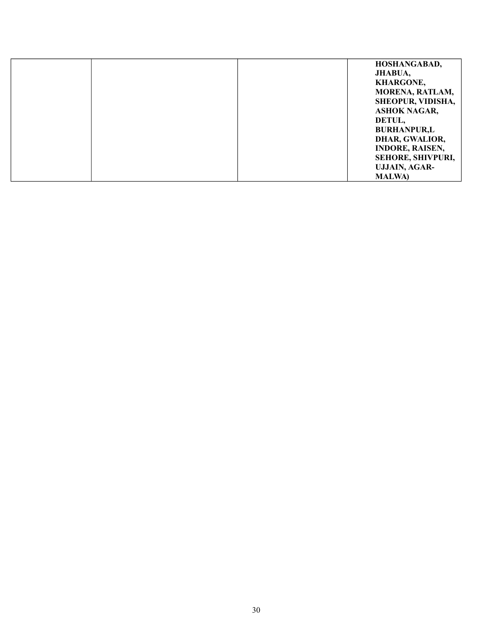| HOSHANGABAD,           |
|------------------------|
| JHABUA,                |
| <b>KHARGONE,</b>       |
| <b>MORENA, RATLAM,</b> |
| SHEOPUR, VIDISHA,      |
| <b>ASHOK NAGAR,</b>    |
| DETUL,                 |
| <b>BURHANPUR,L</b>     |
| DHAR, GWALIOR,         |
| <b>INDORE, RAISEN,</b> |
| SEHORE, SHIVPURI,      |
| <b>UJJAIN, AGAR-</b>   |
| <b>MALWA</b>           |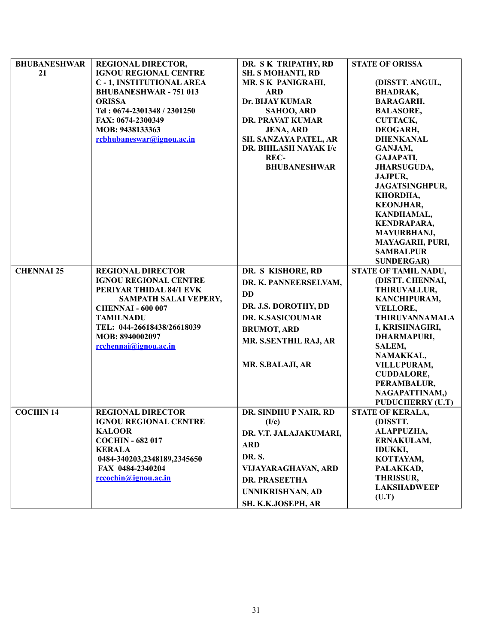| <b>BHUBANESHWAR</b> | <b>REGIONAL DIRECTOR,</b>      | DR. SK TRIPATHY, RD          | <b>STATE OF ORISSA</b>  |
|---------------------|--------------------------------|------------------------------|-------------------------|
| 21                  | <b>IGNOU REGIONAL CENTRE</b>   | <b>SH. S MOHANTI, RD</b>     |                         |
|                     | <b>C-1, INSTITUTIONAL AREA</b> | MR. S K PANIGRAHI,           | (DISSTT. ANGUL,         |
|                     | <b>BHUBANESHWAR - 751 013</b>  | <b>ARD</b>                   | <b>BHADRAK,</b>         |
|                     | <b>ORISSA</b>                  | Dr. BIJAY KUMAR              | <b>BARAGARH,</b>        |
|                     | Tel: 0674-2301348 / 2301250    | SAHOO, ARD                   | <b>BALASORE,</b>        |
|                     | FAX: 0674-2300349              | <b>DR. PRAVAT KUMAR</b>      | <b>CUTTACK,</b>         |
|                     | MOB: 9438133363                | <b>JENA, ARD</b>             | DEOGARH,                |
|                     |                                |                              |                         |
|                     | rcbhubaneswar@ignou.ac.in      | SH. SANZAYA PATEL, AR        | <b>DHENKANAL</b>        |
|                     |                                | <b>DR. BHILASH NAYAK I/c</b> | GANJAM,                 |
|                     |                                | REC-                         | GAJAPATI,               |
|                     |                                | <b>BHUBANESHWAR</b>          | JHARSUGUDA,             |
|                     |                                |                              | JAJPUR,                 |
|                     |                                |                              | <b>JAGATSINGHPUR,</b>   |
|                     |                                |                              | KHORDHA,                |
|                     |                                |                              | <b>KEONJHAR,</b>        |
|                     |                                |                              | KANDHAMAL,              |
|                     |                                |                              | <b>KENDRAPARA,</b>      |
|                     |                                |                              | MAYURBHANJ,             |
|                     |                                |                              | MAYAGARH, PURI,         |
|                     |                                |                              | <b>SAMBALPUR</b>        |
|                     |                                |                              | <b>SUNDERGAR)</b>       |
| <b>CHENNAI 25</b>   | <b>REGIONAL DIRECTOR</b>       | DR. S KISHORE, RD            | STATE OF TAMIL NADU,    |
|                     | <b>IGNOU REGIONAL CENTRE</b>   |                              | (DISTT. CHENNAI,        |
|                     | PERIYAR THIDAL 84/1 EVK        | DR. K. PANNEERSELVAM,        | THIRUVALLUR,            |
|                     | SAMPATH SALAI VEPERY,          | <b>DD</b>                    | KANCHIPURAM,            |
|                     |                                | DR. J.S. DOROTHY, DD         |                         |
|                     | <b>CHENNAI - 600 007</b>       |                              | <b>VELLORE,</b>         |
|                     | <b>TAMILNADU</b>               | DR. K.SASICOUMAR             | <b>THIRUVANNAMALA</b>   |
|                     | TEL: 044-26618438/26618039     | <b>BRUMOT, ARD</b>           | I, KRISHNAGIRI,         |
|                     | MOB: 8940002097                | MR. S.SENTHIL RAJ, AR        | DHARMAPURI,             |
|                     | rcchennai@ignou.ac.in          |                              | SALEM,                  |
|                     |                                |                              | NAMAKKAL,               |
|                     |                                | MR. S.BALAJI, AR             | VILLUPURAM,             |
|                     |                                |                              | <b>CUDDALORE,</b>       |
|                     |                                |                              | PERAMBALUR,             |
|                     |                                |                              | NAGAPATTINAM,)          |
|                     |                                |                              | <b>PUDUCHERRY (U.T)</b> |
| <b>COCHIN 14</b>    | <b>REGIONAL DIRECTOR</b>       | DR. SINDHU P NAIR, RD        | <b>STATE OF KERALA,</b> |
|                     | <b>IGNOU REGIONAL CENTRE</b>   | (I/c)                        | (DISSTT.                |
|                     | <b>KALOOR</b>                  | DR. V.T. JALAJAKUMARI,       | ALAPPUZHA,              |
|                     | <b>COCHIN - 682 017</b>        |                              | ERNAKULAM,              |
|                     | <b>KERALA</b>                  | <b>ARD</b>                   | <b>IDUKKI,</b>          |
|                     | 0484-340203,2348189,2345650    | DR. S.                       | KOTTAYAM,               |
|                     | FAX 0484-2340204               | VIJAYARAGHAVAN, ARD          | PALAKKAD,               |
|                     | rccochin@ignou.ac.in           |                              | <b>THRISSUR,</b>        |
|                     |                                | <b>DR. PRASEETHA</b>         | <b>LAKSHADWEEP</b>      |
|                     |                                | UNNIKRISHNAN, AD             | (U.T)                   |
|                     |                                | SH. K.K.JOSEPH, AR           |                         |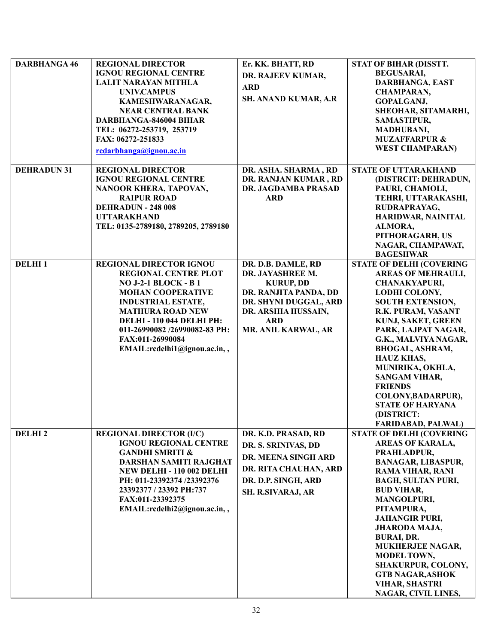| <b>DARBHANGA 46</b> | <b>REGIONAL DIRECTOR</b>            | Er. KK. BHATT, RD     | STAT OF BIHAR (DISSTT.          |
|---------------------|-------------------------------------|-----------------------|---------------------------------|
|                     | <b>IGNOU REGIONAL CENTRE</b>        | DR. RAJEEV KUMAR,     | <b>BEGUSARAI,</b>               |
|                     | <b>LALIT NARAYAN MITHLA</b>         |                       | DARBHANGA, EAST                 |
|                     | <b>UNIV.CAMPUS</b>                  | <b>ARD</b>            | <b>CHAMPARAN,</b>               |
|                     | KAMESHWARANAGAR,                    | SH. ANAND KUMAR, A.R  | GOPALGANJ,                      |
|                     | <b>NEAR CENTRAL BANK</b>            |                       | SHEOHAR, SITAMARHI,             |
|                     | <b>DARBHANGA-846004 BIHAR</b>       |                       | SAMASTIPUR,                     |
|                     | TEL: 06272-253719, 253719           |                       | <b>MADHUBANI,</b>               |
|                     | FAX: 06272-251833                   |                       | <b>MUZAFFARPUR &amp;</b>        |
|                     | rcdarbhanga@ignou.ac.in             |                       | <b>WEST CHAMPARAN)</b>          |
|                     |                                     |                       |                                 |
| <b>DEHRADUN 31</b>  | <b>REGIONAL DIRECTOR</b>            | DR. ASHA. SHARMA, RD  | <b>STATE OF UTTARAKHAND</b>     |
|                     | <b>IGNOU REGIONAL CENTRE</b>        | DR. RANJAN KUMAR, RD  | (DISTRCIT: DEHRADUN,            |
|                     | NANOOR KHERA, TAPOVAN,              | DR. JAGDAMBA PRASAD   | PAURI, CHAMOLI,                 |
|                     | <b>RAIPUR ROAD</b>                  | <b>ARD</b>            | TEHRI, UTTARAKASHI,             |
|                     | <b>DEHRADUN - 248 008</b>           |                       | RUDRAPRAYAG,                    |
|                     | <b>UTTARAKHAND</b>                  |                       | HARIDWAR, NAINITAL              |
|                     | TEL: 0135-2789180, 2789205, 2789180 |                       | ALMORA,                         |
|                     |                                     |                       | PITHORAGARH, US                 |
|                     |                                     |                       | NAGAR, CHAMPAWAT,               |
|                     |                                     |                       | <b>BAGESHWAR</b>                |
| <b>DELHI1</b>       | <b>REGIONAL DIRECTOR IGNOU</b>      | DR. D.B. DAMLE, RD    | <b>STATE OF DELHI (COVERING</b> |
|                     | <b>REGIONAL CENTRE PLOT</b>         | DR. JAYASHREE M.      | <b>AREAS OF MEHRAULI,</b>       |
|                     | <b>NO J-2-1 BLOCK - B1</b>          | <b>KURUP, DD</b>      | <b>CHANAKYAPURI,</b>            |
|                     | <b>MOHAN COOPERATIVE</b>            | DR. RANJITA PANDA, DD | <b>LODHI COLONY,</b>            |
|                     | <b>INDUSTRIAL ESTATE,</b>           | DR. SHYNI DUGGAL, ARD | <b>SOUTH EXTENSION,</b>         |
|                     | <b>MATHURA ROAD NEW</b>             | DR. ARSHIA HUSSAIN,   | R.K. PURAM, VASANT              |
|                     | <b>DELHI - 110 044 DELHI PH:</b>    | <b>ARD</b>            | KUNJ, SAKET, GREEN              |
|                     | 011-26990082/26990082-83 PH:        | MR. ANIL KARWAL, AR   | PARK, LAJPAT NAGAR,             |
|                     | FAX:011-26990084                    |                       | G.K., MALVIYA NAGAR,            |
|                     | EMAIL:rcdelhi1@ignou.ac.in,,        |                       | <b>BHOGAL, ASHRAM,</b>          |
|                     |                                     |                       | <b>HAUZ KHAS,</b>               |
|                     |                                     |                       | MUNIRIKA, OKHLA,                |
|                     |                                     |                       | <b>SANGAM VIHAR,</b>            |
|                     |                                     |                       | <b>FRIENDS</b>                  |
|                     |                                     |                       | COLONY, BADARPUR),              |
|                     |                                     |                       | <b>STATE OF HARYANA</b>         |
|                     |                                     |                       | (DISTRICT:                      |
|                     |                                     |                       | <b>FARIDABAD, PALWAL)</b>       |
| <b>DELHI2</b>       | <b>REGIONAL DIRECTOR (I/C)</b>      | DR. K.D. PRASAD, RD   | <b>STATE OF DELHI (COVERING</b> |
|                     | <b>IGNOU REGIONAL CENTRE</b>        | DR. S. SRINIVAS, DD   | <b>AREAS OF KARALA,</b>         |
|                     | <b>GANDHI SMRITI &amp;</b>          |                       | PRAHLADPUR,                     |
|                     | DARSHAN SAMITI RAJGHAT              | DR. MEENA SINGH ARD   | <b>BANAGAR, LIBASPUR,</b>       |
|                     | <b>NEW DELHI - 110 002 DELHI</b>    | DR. RITA CHAUHAN, ARD | <b>RAMA VIHAR, RANI</b>         |
|                     | PH: 011-23392374 /23392376          | DR. D.P. SINGH, ARD   | <b>BAGH, SULTAN PURI,</b>       |
|                     | 23392377 / 23392 PH:737             | SH. R.SIVARAJ, AR     | <b>BUD VIHAR,</b>               |
|                     | FAX:011-23392375                    |                       | MANGOLPURI,                     |
|                     | EMAIL:rcdelhi2@ignou.ac.in,,        |                       | PITAMPURA,                      |
|                     |                                     |                       | <b>JAHANGIR PURI,</b>           |
|                     |                                     |                       | JHARODA MAJA,                   |
|                     |                                     |                       | <b>BURAI, DR.</b>               |
|                     |                                     |                       | <b>MUKHERJEE NAGAR,</b>         |
|                     |                                     |                       | <b>MODEL TOWN,</b>              |
|                     |                                     |                       | SHAKURPUR, COLONY,              |
|                     |                                     |                       | <b>GTB NAGAR, ASHOK</b>         |
|                     |                                     |                       | VIHAR, SHASTRI                  |
|                     |                                     |                       | NAGAR, CIVIL LINES,             |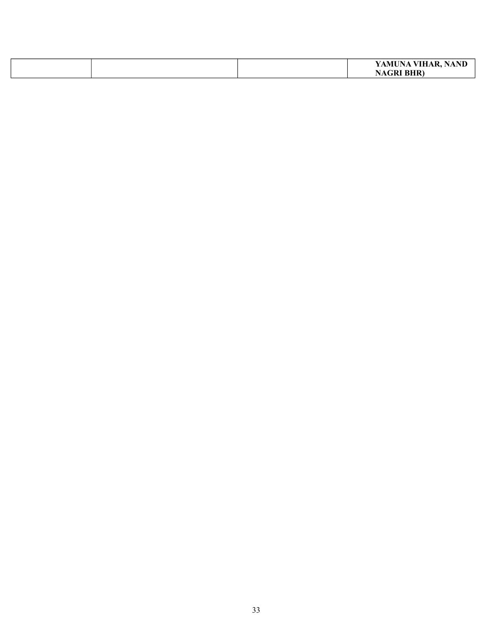|  | YAMUNA VIHAR,<br>NANI |
|--|-----------------------|
|  | <b>NAGRI BHR)</b>     |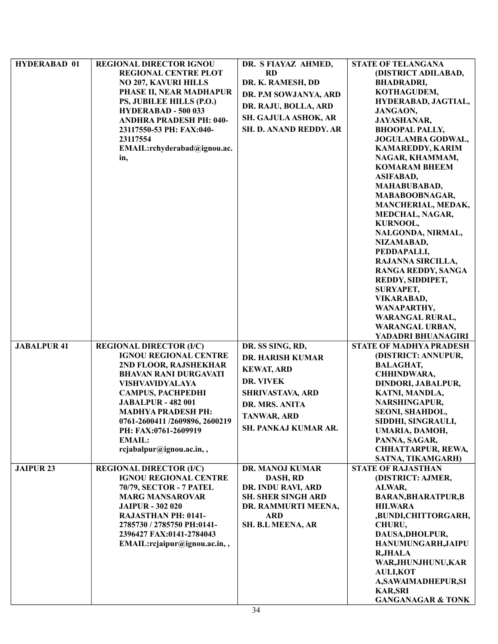| <b>HYDERABAD 01</b> | <b>REGIONAL DIRECTOR IGNOU</b>                                 | DR. S FIAYAZ AHMED,         | <b>STATE OF TELANGANA</b>               |
|---------------------|----------------------------------------------------------------|-----------------------------|-----------------------------------------|
|                     | <b>REGIONAL CENTRE PLOT</b>                                    | <b>RD</b>                   | (DISTRICT ADILABAD,                     |
|                     | <b>NO 207, KAVURI HILLS</b>                                    | DR. K. RAMESH, DD           | <b>BHADRADRI,</b>                       |
|                     | PHASE II, NEAR MADHAPUR                                        | DR. P.M SOWJANYA, ARD       | KOTHAGUDEM,                             |
|                     | PS, JUBILEE HILLS (P.O.)                                       |                             | HYDERABAD, JAGTIAL,                     |
|                     | HYDERABAD - 500 033                                            | DR. RAJU, BOLLA, ARD        | JANGAON,                                |
|                     | <b>ANDHRA PRADESH PH: 040-</b>                                 | <b>SH. GAJULA ASHOK, AR</b> | <b>JAYASHANAR,</b>                      |
|                     | 23117550-53 PH: FAX:040-                                       | SH. D. ANAND REDDY. AR      | <b>BHOOPAL PALLY,</b>                   |
|                     | 23117554                                                       |                             | JOGULAMBA GODWAL,                       |
|                     | EMAIL:rchyderabad@ignou.ac.                                    |                             | <b>KAMAREDDY, KARIM</b>                 |
|                     | in,                                                            |                             | NAGAR, KHAMMAM,                         |
|                     |                                                                |                             | <b>KOMARAM BHEEM</b>                    |
|                     |                                                                |                             | <b>ASIFABAD,</b>                        |
|                     |                                                                |                             | MAHABUBABAD,                            |
|                     |                                                                |                             | MABABOOBNAGAR,                          |
|                     |                                                                |                             | MANCHERIAL, MEDAK,                      |
|                     |                                                                |                             | MEDCHAL, NAGAR,                         |
|                     |                                                                |                             | KURNOOL,                                |
|                     |                                                                |                             | NALGONDA, NIRMAL,                       |
|                     |                                                                |                             | NIZAMABAD,                              |
|                     |                                                                |                             | PEDDAPALLI,                             |
|                     |                                                                |                             | RAJANNA SIRCILLA,                       |
|                     |                                                                |                             | <b>RANGA REDDY, SANGA</b>               |
|                     |                                                                |                             | REDDY, SIDDIPET,                        |
|                     |                                                                |                             | SURYAPET,                               |
|                     |                                                                |                             | <b>VIKARABAD,</b>                       |
|                     |                                                                |                             | WANAPARTHY,                             |
|                     |                                                                |                             | <b>WARANGAL RURAL,</b>                  |
|                     |                                                                |                             | <b>WARANGAL URBAN,</b>                  |
|                     |                                                                |                             | YADADRI BHUANAGIRI                      |
| <b>JABALPUR 41</b>  | <b>REGIONAL DIRECTOR (I/C)</b>                                 | DR. SS SING, RD,            | <b>STATE OF MADHYA PRADESH</b>          |
|                     | <b>IGNOU REGIONAL CENTRE</b>                                   | <b>DR. HARISH KUMAR</b>     | (DISTRICT: ANNUPUR,                     |
|                     | 2ND FLOOR, RAJSHEKHAR                                          | <b>KEWAT, ARD</b>           | <b>BALAGHAT,</b>                        |
|                     | <b>BHAVAN RANI DURGAVATI</b>                                   | DR. VIVEK                   | CHHINDWARA,                             |
|                     | VISHVAVIDYALAYA                                                |                             | DINDORI, JABALPUR,                      |
|                     | <b>CAMPUS, PACHPEDHI</b>                                       | SHRIVASTAVA, ARD            | KATNI, MANDLA,                          |
|                     | <b>JABALPUR - 482 001</b>                                      | DR. MRS. ANITA              | NARSHINGAPUR,                           |
|                     | <b>MADHYA PRADESH PH:</b>                                      | TANWAR, ARD                 | SEONI, SHAHDOL,                         |
|                     | 0761-2600411 /2609896, 2600219                                 | SH. PANKAJ KUMAR AR.        | SIDDHI, SINGRAULI,                      |
|                     | PH: FAX:0761-2609919                                           |                             | UMARIA, DAMOH,                          |
|                     | <b>EMAIL:</b>                                                  |                             | PANNA, SAGAR,                           |
|                     | rcjabalpur@ignou.ac.in,,                                       |                             | CHHATTARPUR, REWA,<br>SATNA, TIKAMGARH) |
| <b>JAIPUR 23</b>    |                                                                |                             | <b>STATE OF RAJASTHAN</b>               |
|                     | <b>REGIONAL DIRECTOR (I/C)</b><br><b>IGNOU REGIONAL CENTRE</b> | DR. MANOJ KUMAR<br>DASH, RD |                                         |
|                     | <b>70/79, SECTOR - 7 PATEL</b>                                 | DR. INDU RAVI, ARD          | (DISTRICT: AJMER,<br>ALWAR,             |
|                     | <b>MARG MANSAROVAR</b>                                         | <b>SH. SHER SINGH ARD</b>   | <b>BARAN, BHARATPUR, B</b>              |
|                     | <b>JAIPUR - 302 020</b>                                        | DR. RAMMURTI MEENA,         | <b>HILWARA</b>                          |
|                     | <b>RAJASTHAN PH: 0141-</b>                                     | <b>ARD</b>                  | ,BUNDI,CHITTORGARH,                     |
|                     | 2785730 / 2785750 PH:0141-                                     | SH. B.L MEENA, AR           | CHURU,                                  |
|                     | 2396427 FAX:0141-2784043                                       |                             | DAUSA, DHOLPUR,                         |
|                     | EMAIL:rcjaipur@ignou.ac.in,,                                   |                             | HANUMUNGARH, JAIPU                      |
|                     |                                                                |                             | <b>R,JHALA</b>                          |
|                     |                                                                |                             | WAR, JHUNJHUNU, KAR                     |
|                     |                                                                |                             | <b>AULI,KOT</b>                         |
|                     |                                                                |                             | A, SAWAIMADHEPUR, SI                    |
|                     |                                                                |                             | <b>KAR,SRI</b>                          |
|                     |                                                                |                             | <b>GANGANAGAR &amp; TONK</b>            |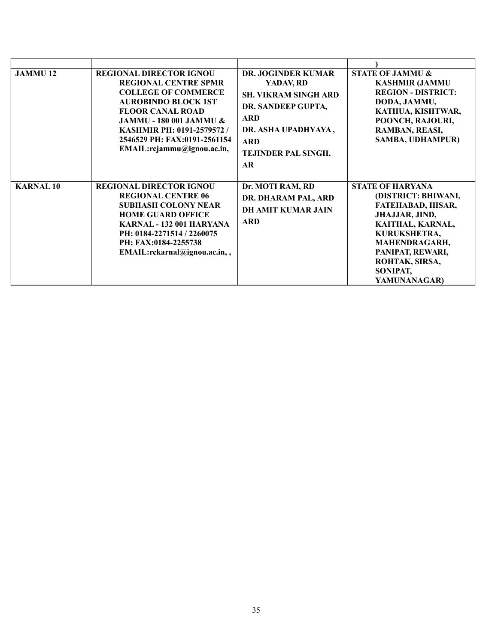| <b>JAMMU12</b>  | <b>REGIONAL DIRECTOR IGNOU</b><br><b>REGIONAL CENTRE SPMR</b><br><b>COLLEGE OF COMMERCE</b><br><b>AUROBINDO BLOCK 1ST</b><br><b>FLOOR CANAL ROAD</b><br><b>JAMMU - 180 001 JAMMU &amp;</b><br><b>KASHMIR PH: 0191-2579572/</b><br>2546529 PH: FAX:0191-2561154<br>EMAIL:rcjammu@ignou.ac.in, | <b>DR. JOGINDER KUMAR</b><br>YADAV, RD<br><b>SH. VIKRAM SINGH ARD</b><br>DR. SANDEEP GUPTA,<br><b>ARD</b><br>DR. ASHA UPADHYAYA,<br><b>ARD</b><br><b>TEJINDER PAL SINGH,</b><br>AR | <b>STATE OF JAMMU &amp;</b><br><b>KASHMIR (JAMMU</b><br><b>REGION - DISTRICT:</b><br>DODA, JAMMU,<br>KATHUA, KISHTWAR,<br>POONCH, RAJOURI,<br>RAMBAN, REASI,<br><b>SAMBA, UDHAMPUR)</b>                             |
|-----------------|----------------------------------------------------------------------------------------------------------------------------------------------------------------------------------------------------------------------------------------------------------------------------------------------|------------------------------------------------------------------------------------------------------------------------------------------------------------------------------------|---------------------------------------------------------------------------------------------------------------------------------------------------------------------------------------------------------------------|
| <b>KARNAL10</b> | <b>REGIONAL DIRECTOR IGNOU</b><br><b>REGIONAL CENTRE 06</b><br><b>SUBHASH COLONY NEAR</b><br><b>HOME GUARD OFFICE</b><br>KARNAL - 132 001 HARYANA<br>PH: 0184-2271514 / 2260075<br>PH: FAX:0184-2255738<br>EMAIL:rckarnal@ignou.ac.in,,                                                      | Dr. MOTI RAM, RD<br>DR. DHARAM PAL, ARD<br><b>DH AMIT KUMAR JAIN</b><br><b>ARD</b>                                                                                                 | <b>STATE OF HARYANA</b><br>(DISTRICT: BHIWANI,<br><b>FATEHABAD, HISAR,</b><br>JHAJJAR, JIND,<br>KAITHAL, KARNAL,<br>KURUKSHETRA,<br>MAHENDRAGARH,<br>PANIPAT, REWARI,<br>ROHTAK, SIRSA,<br>SONIPAT,<br>YAMUNANAGAR) |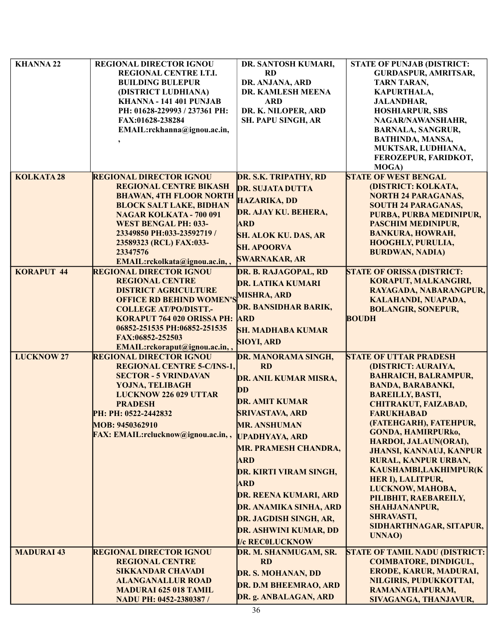| <b>KHANNA 22</b>  | <b>REGIONAL DIRECTOR IGNOU</b>              | DR. SANTOSH KUMARI,           | <b>STATE OF PUNJAB (DISTRICT:</b>     |
|-------------------|---------------------------------------------|-------------------------------|---------------------------------------|
|                   | REGIONAL CENTRE I.T.I.                      | <b>RD</b>                     | <b>GURDASPUR, AMRITSAR,</b>           |
|                   | <b>BUILDING BULEPUR</b>                     | DR. ANJANA, ARD               | <b>TARN TARAN,</b>                    |
|                   | (DISTRICT LUDHIANA)                         | DR. KAMLESH MEENA             | KAPURTHALA,                           |
|                   | KHANNA - 141 401 PUNJAB                     | <b>ARD</b>                    |                                       |
|                   |                                             |                               | <b>JALANDHAR,</b>                     |
|                   | PH: 01628-229993 / 237361 PH:               | DR. K. NILOPER, ARD           | <b>HOSHIARPUR, SBS</b>                |
|                   | FAX:01628-238284                            | <b>SH. PAPU SINGH, AR</b>     | NAGAR/NAWANSHAHR,                     |
|                   | EMAIL:rckhanna@ignou.ac.in,                 |                               | <b>BARNALA, SANGRUR,</b>              |
|                   |                                             |                               | BATHINDA, MANSA,                      |
|                   |                                             |                               | MUKTSAR, LUDHIANA,                    |
|                   |                                             |                               | FEROZEPUR, FARIDKOT,                  |
|                   |                                             |                               | <b>MOGA</b> )                         |
| <b>KOLKATA28</b>  | <b>REGIONAL DIRECTOR IGNOU</b>              | DR. S.K. TRIPATHY, RD         | <b>STATE OF WEST BENGAL</b>           |
|                   | <b>REGIONAL CENTRE BIKASH</b>               | <b>DR. SUJATA DUTTA</b>       | (DISTRICT: KOLKATA,                   |
|                   | <b>BHAWAN, 4TH FLOOR NORTH</b>              |                               | <b>NORTH 24 PARAGANAS,</b>            |
|                   | <b>BLOCK SALT LAKE, BIDHAN</b>              | <b>HAZARIKA, DD</b>           | <b>SOUTH 24 PARAGANAS,</b>            |
|                   | <b>NAGAR KOLKATA - 700 091</b>              | DR. AJAY KU. BEHERA,          | PURBA, PURBA MEDINIPUR,               |
|                   | <b>WEST BENGAL PH: 033-</b>                 | <b>ARD</b>                    | PASCHIM MEDINIPUR,                    |
|                   | 23349850 PH:033-23592719/                   | <b>SH. ALOK KU. DAS, AR</b>   | <b>BANKURA, HOWRAH,</b>               |
|                   | 23589323 (RCL) FAX:033-                     |                               | <b>HOOGHLY, PURULIA,</b>              |
|                   | 23347576                                    | <b>SH. APOORVA</b>            | <b>BURDWAN, NADIA)</b>                |
|                   | EMAIL:rckolkata@ignou.ac.in,,               | <b>SWARNAKAR, AR</b>          |                                       |
| <b>KORAPUT 44</b> | <b>REGIONAL DIRECTOR IGNOU</b>              | DR. B. RAJAGOPAL, RD          | <b>STATE OF ORISSA (DISTRICT:</b>     |
|                   | <b>REGIONAL CENTRE</b>                      |                               | KORAPUT, MALKANGIRI,                  |
|                   | <b>DISTRICT AGRICULTURE</b>                 | <b>DR. LATIKA KUMARI</b>      | RAYAGADA, NABARANGPUR,                |
|                   | <b>OFFICE RD BEHIND WOMEN'S MISHRA, ARD</b> |                               | KALAHANDI, NUAPADA,                   |
|                   | <b>COLLEGE AT/PO/DISTT.-</b>                | DR. BANSIDHAR BARIK,          | <b>BOLANGIR, SONEPUR,</b>             |
|                   | KORAPUT 764 020 ORISSA PH: ARD              |                               | <b>BOUDH</b>                          |
|                   | 06852-251535 PH:06852-251535                |                               |                                       |
|                   | FAX:06852-252503                            | <b>SH. MADHABA KUMAR</b>      |                                       |
|                   | EMAIL:rckoraput@ignou.ac.in,,               | <b>SIOYI, ARD</b>             |                                       |
| <b>LUCKNOW 27</b> | <b>REGIONAL DIRECTOR IGNOU</b>              | DR. MANORAMA SINGH,           | <b>STATE OF UTTAR PRADESH</b>         |
|                   | <b>REGIONAL CENTRE 5-C/INS-1,</b>           | <b>RD</b>                     | (DISTRICT: AURAIYA,                   |
|                   | <b>SECTOR - 5 VRINDAVAN</b>                 |                               | <b>BAHRAICH, BALRAMPUR,</b>           |
|                   | YOJNA, TELIBAGH                             | DR. ANIL KUMAR MISRA,         | <b>BANDA, BARABANKI,</b>              |
|                   | <b>LUCKNOW 226 029 UTTAR</b>                | DD                            | <b>BAREILLY, BASTI,</b>               |
|                   | <b>PRADESH</b>                              | <b>DR. AMIT KUMAR</b>         |                                       |
|                   |                                             |                               | CHITRAKUT, FAIZABAD,                  |
|                   | PH: PH: 0522-2442832                        | <b>SRIVASTAVA, ARD</b>        | <b>FARUKHABAD</b>                     |
|                   | MOB: 9450362910                             | <b>MR. ANSHUMAN</b>           | (FATEHGARH), FATEHPUR,                |
|                   | FAX: EMAIL:rclucknow@ignou.ac.in,,          | <b>UPADHYAYA, ARD</b>         | <b>GONDA, HAMIRPURko,</b>             |
|                   |                                             | <b>MR. PRAMESH CHANDRA,</b>   | HARDOI, JALAUN(ORAI),                 |
|                   |                                             |                               | <b>JHANSI, KANNAUJ, KANPUR</b>        |
|                   |                                             | <b>ARD</b>                    | RURAL, KANPUR URBAN,                  |
|                   |                                             | <b>DR. KIRTI VIRAM SINGH,</b> | KAUSHAMBI,LAKHIMPUR(K                 |
|                   |                                             | <b>ARD</b>                    | HER I), LALITPUR,                     |
|                   |                                             | <b>DR. REENA KUMARI, ARD</b>  | LUCKNOW, MAHOBA,                      |
|                   |                                             |                               | PILIBHIT, RAEBAREILY,                 |
|                   |                                             | DR. ANAMIKA SINHA, ARD        | <b>SHAHJANANPUR,</b>                  |
|                   |                                             | DR. JAGDISH SINGH, AR,        | SHRAVASTI,                            |
|                   |                                             | <b>DR. ASHWINI KUMAR, DD</b>  | SIDHARTHNAGAR, SITAPUR,               |
|                   |                                             | <b>I/c RECOLUCKNOW</b>        | <b>UNNAO</b> )                        |
| <b>MADURAI 43</b> | <b>REGIONAL DIRECTOR IGNOU</b>              | DR. M. SHANMUGAM, SR.         | <b>STATE OF TAMIL NADU (DISTRICT:</b> |
|                   | <b>REGIONAL CENTRE</b>                      | <b>RD</b>                     | <b>COIMBATORE, DINDIGUL,</b>          |
|                   |                                             |                               | ERODE, KARUR, MADURAI,                |
|                   | <b>SIKKANDAR CHAVADI</b>                    | DR. S. MOHANAN, DD            |                                       |
|                   | <b>ALANGANALLUR ROAD</b>                    | DR. D.M BHEEMRAO, ARD         | NILGIRIS, PUDUKKOTTAI,                |
|                   | <b>MADURAI 625 018 TAMIL</b>                | DR. g. ANBALAGAN, ARD         | RAMANATHAPURAM,                       |
|                   | NADU PH: 0452-2380387/                      |                               | SIVAGANGA, THANJAVUR,                 |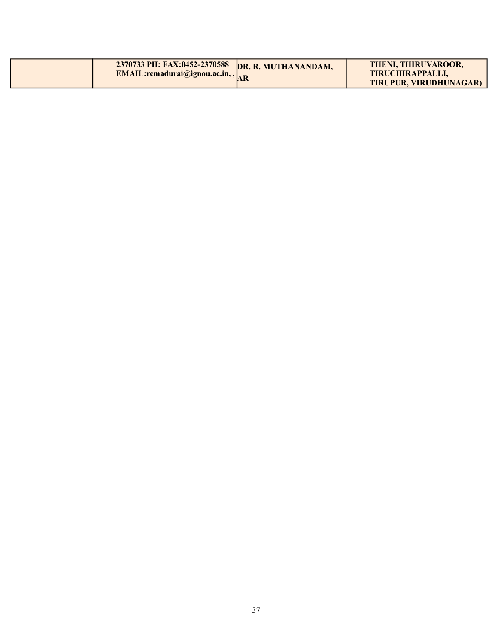| 2370733 PH: FAX:0452-2370588 DR. R. MUTHANANDAM,<br><b>EMAIL:rcmadurai@ignou.ac.in,, <math>\vert_{\text{AP}}</math></b> | <b>THENI, THIRUVAROOR,</b><br>TIRUCHIRAPPALLI. |
|-------------------------------------------------------------------------------------------------------------------------|------------------------------------------------|
|                                                                                                                         | TIRUPUR, VIRUDHUNAGAR)                         |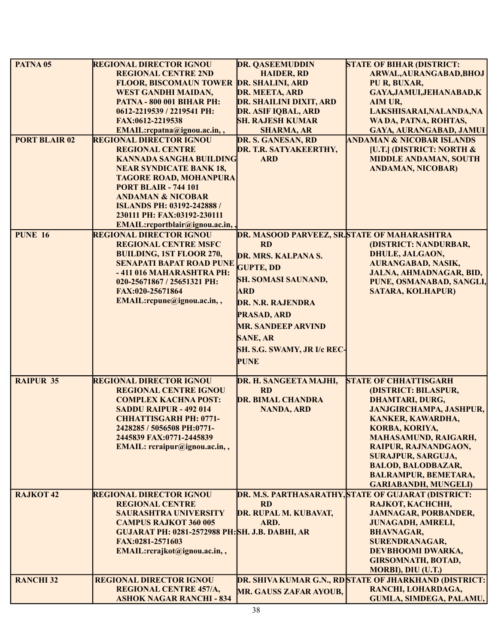| PATNA <sub>05</sub>  | <b>REGIONAL DIRECTOR IGNOU</b>                               | <b>DR. QASEEMUDDIN</b>                       | <b>STATE OF BIHAR (DISTRICT:</b>                                               |
|----------------------|--------------------------------------------------------------|----------------------------------------------|--------------------------------------------------------------------------------|
|                      | <b>REGIONAL CENTRE 2ND</b>                                   | <b>HAIDER, RD</b>                            | ARWAL, AURANGABAD, BHOJ                                                        |
|                      | FLOOR, BISCOMAUN TOWER DR. SHALINI, ARD                      |                                              | PU R, BUXAR,                                                                   |
|                      | <b>WEST GANDHI MAIDAN,</b>                                   | DR. MEETA, ARD                               | GAYA, JAMUI, JEHANABAD, K                                                      |
|                      | <b>PATNA - 800 001 BIHAR PH:</b>                             | DR. SHAILINI DIXIT, ARD                      | AIM UR,                                                                        |
|                      | 0612-2219539 / 2219541 PH:                                   | DR. ASIF IQBAL, ARD                          | LAKSHISARAI, NALANDA, NA                                                       |
|                      | FAX:0612-2219538                                             | <b>SH. RAJESH KUMAR</b>                      | WA DA, PATNA, ROHTAS,                                                          |
|                      | EMAIL:rcpatna@ignou.ac.in,,                                  | <b>SHARMA, AR</b>                            | GAYA, AURANGABAD, JAMUI                                                        |
| <b>PORT BLAIR 02</b> | <b>REGIONAL DIRECTOR IGNOU</b>                               | DR. S. GANESAN, RD                           | <b>ANDAMAN &amp; NICOBAR ISLANDS</b>                                           |
|                      | <b>REGIONAL CENTRE</b>                                       | DR. T.R. SATYAKEERTHY,                       | <b>[U.T.] (DISTRICT: NORTH &amp;</b>                                           |
|                      | <b>KANNADA SANGHA BUILDING</b>                               | <b>ARD</b>                                   | <b>MIDDLE ANDAMAN, SOUTH</b>                                                   |
|                      | <b>NEAR SYNDICATE BANK 18,</b>                               |                                              | <b>ANDAMAN, NICOBAR)</b>                                                       |
|                      | <b>TAGORE ROAD, MOHANPURA</b>                                |                                              |                                                                                |
|                      | <b>PORT BLAIR - 744 101</b>                                  |                                              |                                                                                |
|                      | <b>ANDAMAN &amp; NICOBAR</b>                                 |                                              |                                                                                |
|                      | ISLANDS PH: 03192-242888 /                                   |                                              |                                                                                |
|                      | 230111 PH: FAX:03192-230111                                  |                                              |                                                                                |
|                      | EMAIL:rcportblair@ignou.ac.in,                               |                                              |                                                                                |
| <b>PUNE 16</b>       | <b>REGIONAL DIRECTOR IGNOU</b>                               | DR. MASOOD PARVEEZ, SR. STATE OF MAHARASHTRA |                                                                                |
|                      | <b>REGIONAL CENTRE MSFC</b>                                  | <b>RD</b>                                    | (DISTRICT: NANDURBAR,                                                          |
|                      | <b>BUILDING, 1ST FLOOR 270,</b>                              | DR. MRS. KALPANA S.                          | <b>DHULE, JALGAON,</b>                                                         |
|                      | <b>SENAPATI BAPAT ROAD PUNE</b>                              | <b>GUPTE, DD</b>                             | <b>AURANGABAD, NASIK,</b>                                                      |
|                      | -411 016 MAHARASHTRA PH:                                     | <b>SH. SOMASI SAUNAND,</b>                   | JALNA, AHMADNAGAR, BID,                                                        |
|                      | 020-25671867 / 25651321 PH:                                  |                                              | PUNE, OSMANABAD, SANGLI,                                                       |
|                      | FAX:020-25671864                                             | <b>ARD</b>                                   | <b>SATARA, KOLHAPUR)</b>                                                       |
|                      | EMAIL:rcpune@ignou.ac.in,,                                   | DR. N.R. RAJENDRA                            |                                                                                |
|                      |                                                              | <b>PRASAD, ARD</b>                           |                                                                                |
|                      |                                                              | <b>MR. SANDEEP ARVIND</b>                    |                                                                                |
|                      |                                                              | <b>SANE, AR</b>                              |                                                                                |
|                      |                                                              |                                              |                                                                                |
|                      |                                                              | <b>SH. S.G. SWAMY, JR I/c REC-</b>           |                                                                                |
|                      |                                                              | <b>PUNE</b>                                  |                                                                                |
|                      |                                                              |                                              |                                                                                |
| <b>RAIPUR 35</b>     | <b>REGIONAL DIRECTOR IGNOU</b>                               | DR. H. SANGEETA MAJHI,                       | <b>STATE OF CHHATTISGARH</b>                                                   |
|                      | <b>REGIONAL CENTRE IGNOU</b>                                 | <b>RD</b>                                    | (DISTRICT: BILASPUR,                                                           |
|                      | <b>COMPLEX KACHNA POST:</b>                                  | <b>DR. BIMAL CHANDRA</b>                     | <b>DHAMTARI, DURG,</b>                                                         |
|                      | SADDU RAIPUR - 492 014                                       | <b>NANDA, ARD</b>                            | <b>JANJGIRCHAMPA, JASHPUR,</b>                                                 |
|                      | <b>CHHATTISGARH PH: 0771-</b>                                |                                              | KANKER, KAWARDHA,                                                              |
|                      | 2428285 / 5056508 PH:0771-                                   |                                              | KORBA, KORIYA,                                                                 |
|                      | 2445839 FAX:0771-2445839                                     |                                              | <b>MAHASAMUND, RAIGARH,</b>                                                    |
|                      | EMAIL: rcraipur@ignou.ac.in,,                                |                                              | RAIPUR, RAJNANDGAON,                                                           |
|                      |                                                              |                                              | <b>SURAJPUR, SARGUJA,</b>                                                      |
|                      |                                                              |                                              | <b>BALOD, BALODBAZAR,</b>                                                      |
|                      |                                                              |                                              | <b>BALRAMPUR, BEMETARA,</b>                                                    |
|                      |                                                              |                                              | <b>GARIABANDH, MUNGELI)</b>                                                    |
| RAJKOT <sub>42</sub> | <b>REGIONAL DIRECTOR IGNOU</b><br><b>REGIONAL CENTRE</b>     | <b>RD</b>                                    | DR. M.S. PARTHASARATHY, STATE OF GUJARAT (DISTRICT:<br><b>RAJKOT, KACHCHH,</b> |
|                      |                                                              | DR. RUPAL M. KUBAVAT,                        |                                                                                |
|                      | <b>SAURASHTRA UNIVERSITY</b><br><b>CAMPUS RAJKOT 360 005</b> | ARD.                                         | <b>JAMNAGAR, PORBANDER,</b>                                                    |
|                      | <b>GUJARAT PH: 0281-2572988 PH:SH. J.B. DABHI, AR</b>        |                                              | <b>JUNAGADH, AMRELI,</b><br><b>BHAVNAGAR,</b>                                  |
|                      | FAX:0281-2571603                                             |                                              | <b>SURENDRANAGAR,</b>                                                          |
|                      | EMAIL:rcrajkot@ignou.ac.in,,                                 |                                              | DEVBHOOMI DWARKA,                                                              |
|                      |                                                              |                                              | <b>GIRSOMNATH, BOTAD,</b>                                                      |
|                      |                                                              |                                              | <b>MORBI), DIU (U.T.)</b>                                                      |
| <b>RANCHI 32</b>     | <b>REGIONAL DIRECTOR IGNOU</b>                               |                                              | <b>DR. SHIVA KUMAR G.N., RDSTATE OF JHARKHAND (DISTRICT:</b>                   |
|                      | <b>REGIONAL CENTRE 457/A,</b>                                |                                              | RANCHI, LOHARDAGA,                                                             |
|                      | <b>ASHOK NAGAR RANCHI - 834</b>                              | <b>MR. GAUSS ZAFAR AYOUB,</b>                | GUMLA, SIMDEGA, PALAMU,                                                        |
|                      |                                                              |                                              |                                                                                |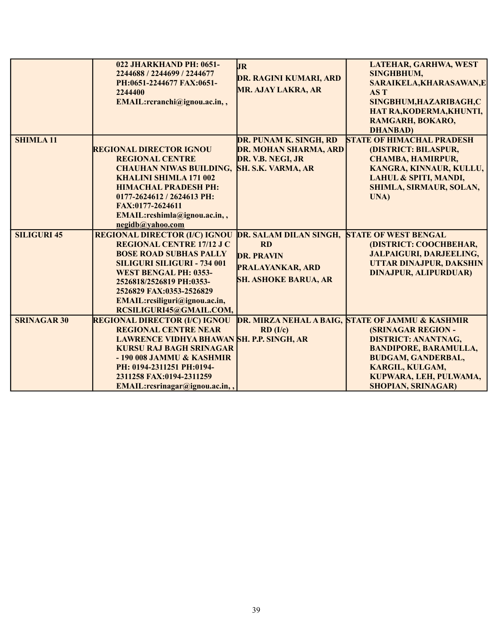|                    | <b>022 JHARKHAND PH: 0651-</b><br>2244688 / 2244699 / 2244677<br>PH:0651-2244677 FAX:0651-<br>2244400<br>EMAIL:rcranchi@ignou.ac.in,,                                                                                                                                                               | <b>JR</b><br><b>DR. RAGINI KUMARI, ARD</b><br><b>MR. AJAY LAKRA, AR</b>                                            | LATEHAR, GARHWA, WEST<br><b>SINGHBHUM,</b><br>SARAIKELA, KHARASAWAN, E<br>AS T<br>SINGBHUM, HAZARIBAGH, C<br>HAT RA, KODERMA, KHUNTI,<br>RAMGARH, BOKARO,<br><b>DHANBAD</b> )                                                                                 |
|--------------------|-----------------------------------------------------------------------------------------------------------------------------------------------------------------------------------------------------------------------------------------------------------------------------------------------------|--------------------------------------------------------------------------------------------------------------------|---------------------------------------------------------------------------------------------------------------------------------------------------------------------------------------------------------------------------------------------------------------|
| <b>SHIMLA11</b>    | <b>REGIONAL DIRECTOR IGNOU</b><br><b>REGIONAL CENTRE</b><br><b>CHAUHAN NIWAS BUILDING,</b><br><b>KHALINI SHIMLA 171 002</b><br><b>HIMACHAL PRADESH PH:</b><br>0177-2624612 / 2624613 PH:<br>FAX:0177-2624611<br>EMAIL:rcshimla@ignou.ac.in,,<br>negidb@yahoo.com                                    | DR. PUNAM K. SINGH, RD<br>DR. MOHAN SHARMA, ARD<br>DR. V.B. NEGI, JR<br>SH. S.K. VARMA, AR                         | <b>STATE OF HIMACHAL PRADESH</b><br>(DISTRICT: BILASPUR,<br>CHAMBA, HAMIRPUR,<br>KANGRA, KINNAUR, KULLU,<br>LAHUL & SPITI, MANDI,<br>SHIMLA, SIRMAUR, SOLAN,<br>UNA)                                                                                          |
| <b>SILIGURI 45</b> | <b>REGIONAL DIRECTOR (I/C) IGNOU</b><br><b>REGIONAL CENTRE 17/12 J C</b><br><b>BOSE ROAD SUBHAS PALLY</b><br><b>SILIGURI SILIGURI - 734 001</b><br><b>WEST BENGAL PH: 0353-</b><br>2526818/2526819 PH:0353-<br>2526829 FAX:0353-2526829<br>EMAIL:rcsiliguri@ignou.ac.in,<br>RCSILIGURI45@GMAIL.COM, | DR. SALAM DILAN SINGH,<br><b>RD</b><br><b>DR. PRAVIN</b><br><b>PRALAYANKAR, ARD</b><br><b>SH. ASHOKE BARUA, AR</b> | <b>STATE OF WEST BENGAL</b><br>(DISTRICT: COOCHBEHAR,<br><b>JALPAIGURI, DARJEELING,</b><br>UTTAR DINAJPUR, DAKSHIN<br><b>DINAJPUR, ALIPURDUAR)</b>                                                                                                            |
| <b>SRINAGAR 30</b> | <b>REGIONAL DIRECTOR (I/C) IGNOU</b><br><b>REGIONAL CENTRE NEAR</b><br>LAWRENCE VIDHYA BHAWAN SH. P.P. SINGH, AR<br><b>KURSU RAJ BAGH SRINAGAR</b><br>- 190 008 JAMMU & KASHMIR<br>PH: 0194-2311251 PH:0194-<br>2311258 FAX:0194-2311259<br>EMAIL:rcsrinagar@ignou.ac.in,,                          | RD (I/c)                                                                                                           | <b>DR. MIRZA NEHAL A BAIG, STATE OF JAMMU &amp; KASHMIR</b><br><b>(SRINAGAR REGION -</b><br><b>DISTRICT: ANANTNAG,</b><br><b>BANDIPORE, BARAMULLA,</b><br><b>BUDGAM, GANDERBAL,</b><br>KARGIL, KULGAM,<br>KUPWARA, LEH, PULWAMA,<br><b>SHOPIAN, SRINAGAR)</b> |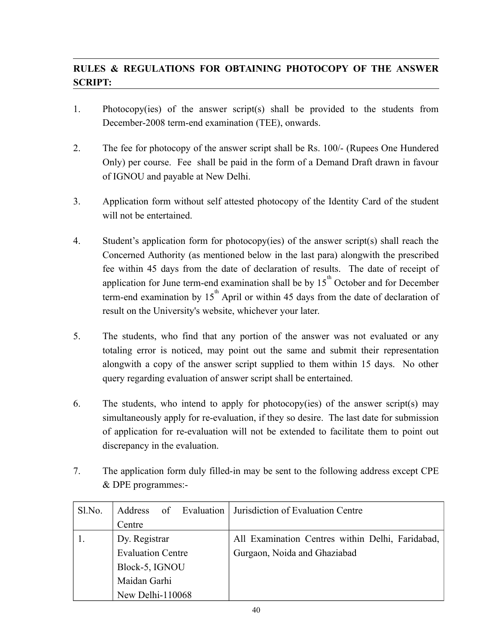# **RULES & REGULATIONS FOR OBTAINING PHOTOCOPY OF THE ANSWER SCRIPT:**

- 1. Photocopy(ies) of the answer script(s) shall be provided to the students from December-2008 term-end examination (TEE), onwards.
- 2. The fee for photocopy of the answer script shall be Rs. 100/- (Rupees One Hundered Only) per course. Fee shall be paid in the form of a Demand Draft drawn in favour of IGNOU and payable at New Delhi.
- 3. Application form without self attested photocopy of the Identity Card of the student will not be entertained.
- 4. Student's application form for photocopy(ies) of the answer script(s) shall reach the Concerned Authority (as mentioned below in the last para) alongwith the prescribed fee within 45 days from the date of declaration of results. The date of receipt of application for June term-end examination shall be by  $15<sup>th</sup>$  October and for December term-end examination by  $15<sup>th</sup>$  April or within 45 days from the date of declaration of result on the University's website, whichever your later.
- 5. The students, who find that any portion of the answer was not evaluated or any totaling error is noticed, may point out the same and submit their representation alongwith a copy of the answer script supplied to them within 15 days. No other query regarding evaluation of answer script shall be entertained.
- 6. The students, who intend to apply for photocopy(ies) of the answer script(s) may simultaneously apply for re-evaluation, if they so desire. The last date for submission of application for re-evaluation will not be extended to facilitate them to point out discrepancy in the evaluation.
- 7. The application form duly filled-in may be sent to the following address except CPE & DPE programmes:-

| Sl.No. | of Evaluation<br><b>Address</b> | Jurisdiction of Evaluation Centre                |
|--------|---------------------------------|--------------------------------------------------|
|        | Centre                          |                                                  |
|        | Dy. Registrar                   | All Examination Centres within Delhi, Faridabad, |
|        | <b>Evaluation Centre</b>        | Gurgaon, Noida and Ghaziabad                     |
|        | Block-5, IGNOU                  |                                                  |
|        | Maidan Garhi                    |                                                  |
|        | New Delhi-110068                |                                                  |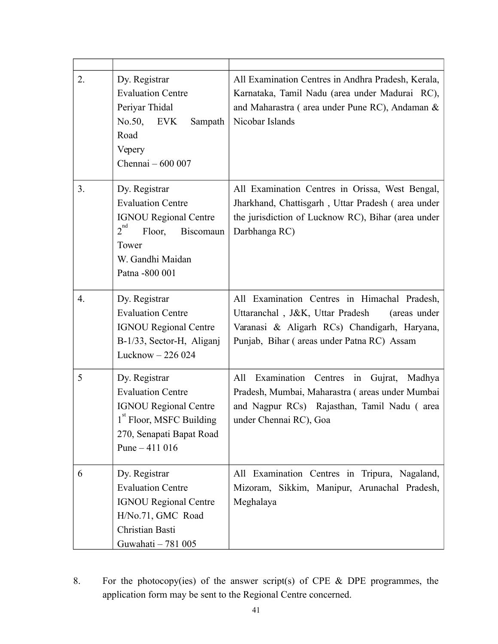| 2. | Dy. Registrar<br><b>Evaluation Centre</b><br>Periyar Thidal<br>No.50,<br><b>EVK</b><br>Sampath<br>Road<br>Vepery<br>Chennai $-600007$                           | All Examination Centres in Andhra Pradesh, Kerala,<br>Karnataka, Tamil Nadu (area under Madurai RC),<br>and Maharastra (area under Pune RC), Andaman &<br>Nicobar Islands                     |
|----|-----------------------------------------------------------------------------------------------------------------------------------------------------------------|-----------------------------------------------------------------------------------------------------------------------------------------------------------------------------------------------|
| 3. | Dy. Registrar<br><b>Evaluation Centre</b><br><b>IGNOU Regional Centre</b><br>$2^{nd}$<br>Floor,<br>Biscomaun<br>Tower<br>W. Gandhi Maidan<br>Patna -800 001     | All Examination Centres in Orissa, West Bengal,<br>Jharkhand, Chattisgarh, Uttar Pradesh (area under<br>the jurisdiction of Lucknow RC), Bihar (area under<br>Darbhanga RC)                   |
| 4. | Dy. Registrar<br><b>Evaluation Centre</b><br><b>IGNOU Regional Centre</b><br>B-1/33, Sector-H, Aliganj<br>Lucknow $-226024$                                     | All Examination Centres in Himachal Pradesh,<br>Uttaranchal, J&K, Uttar Pradesh<br>(areas under<br>Varanasi & Aligarh RCs) Chandigarh, Haryana,<br>Punjab, Bihar (areas under Patna RC) Assam |
| 5  | Dy. Registrar<br><b>Evaluation Centre</b><br><b>IGNOU Regional Centre</b><br>1 <sup>st</sup> Floor, MSFC Building<br>270, Senapati Bapat Road<br>Pune $-411016$ | Examination Centres<br>Gujrat,<br>Madhya<br>All<br>in<br>Pradesh, Mumbai, Maharastra (areas under Mumbai<br>and Nagpur RCs) Rajasthan, Tamil Nadu (area<br>under Chennai RC), Goa             |
| 6  | Dy. Registrar<br><b>Evaluation Centre</b><br><b>IGNOU Regional Centre</b><br>H/No.71, GMC Road<br>Christian Basti<br>Guwahati - 781 005                         | All Examination Centres in Tripura, Nagaland,<br>Mizoram, Sikkim, Manipur, Arunachal Pradesh,<br>Meghalaya                                                                                    |

8. For the photocopy(ies) of the answer script(s) of CPE & DPE programmes, the application form may be sent to the Regional Centre concerned.